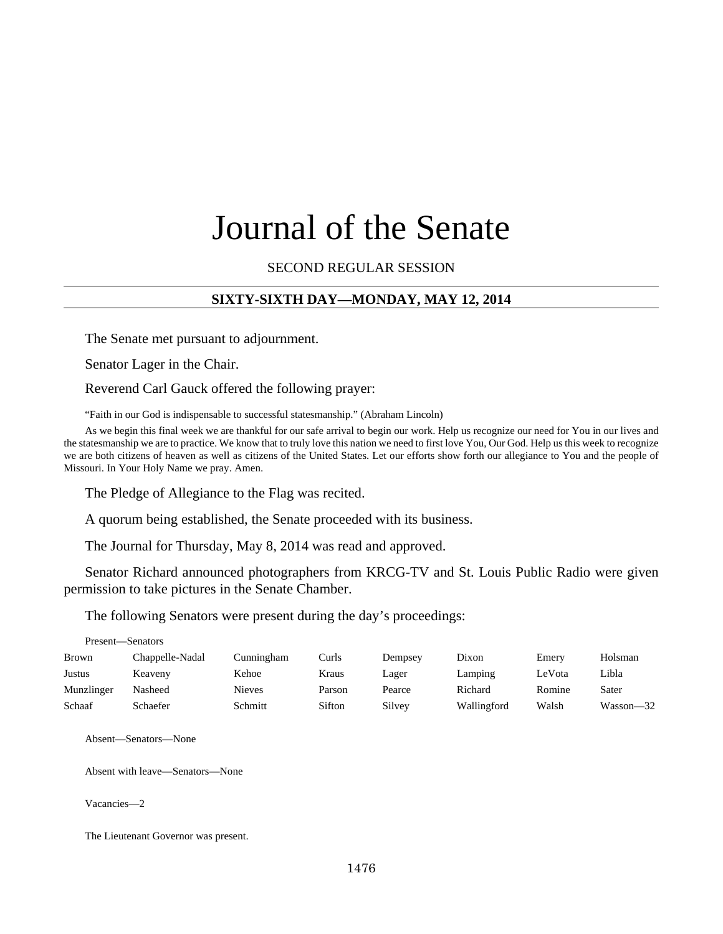# Journal of the Senate

SECOND REGULAR SESSION

## **SIXTY-SIXTH DAY—MONDAY, MAY 12, 2014**

The Senate met pursuant to adjournment.

Senator Lager in the Chair.

Reverend Carl Gauck offered the following prayer:

"Faith in our God is indispensable to successful statesmanship." (Abraham Lincoln)

As we begin this final week we are thankful for our safe arrival to begin our work. Help us recognize our need for You in our lives and the statesmanship we are to practice. We know that to truly love this nation we need to first love You, Our God. Help us this week to recognize we are both citizens of heaven as well as citizens of the United States. Let our efforts show forth our allegiance to You and the people of Missouri. In Your Holy Name we pray. Amen.

The Pledge of Allegiance to the Flag was recited.

A quorum being established, the Senate proceeded with its business.

The Journal for Thursday, May 8, 2014 was read and approved.

Senator Richard announced photographers from KRCG-TV and St. Louis Public Radio were given permission to take pictures in the Senate Chamber.

The following Senators were present during the day's proceedings:

| Present—Senators |                 |               |        |         |             |        |           |  |
|------------------|-----------------|---------------|--------|---------|-------------|--------|-----------|--|
| Brown            | Chappelle-Nadal | Cunningham    | Curls  | Dempsey | Dixon       | Emery  | Holsman   |  |
| Justus           | Keaveny         | Kehoe         | Kraus  | Lager   | Lamping     | LeVota | Libla     |  |
| Munzlinger       | Nasheed         | <b>Nieves</b> | Parson | Pearce  | Richard     | Romine | Sater     |  |
| Schaaf           | Schaefer        | Schmitt       | Sifton | Silvey  | Wallingford | Walsh  | Wasson—32 |  |

Absent—Senators—None

Absent with leave—Senators—None

Vacancies—2

The Lieutenant Governor was present.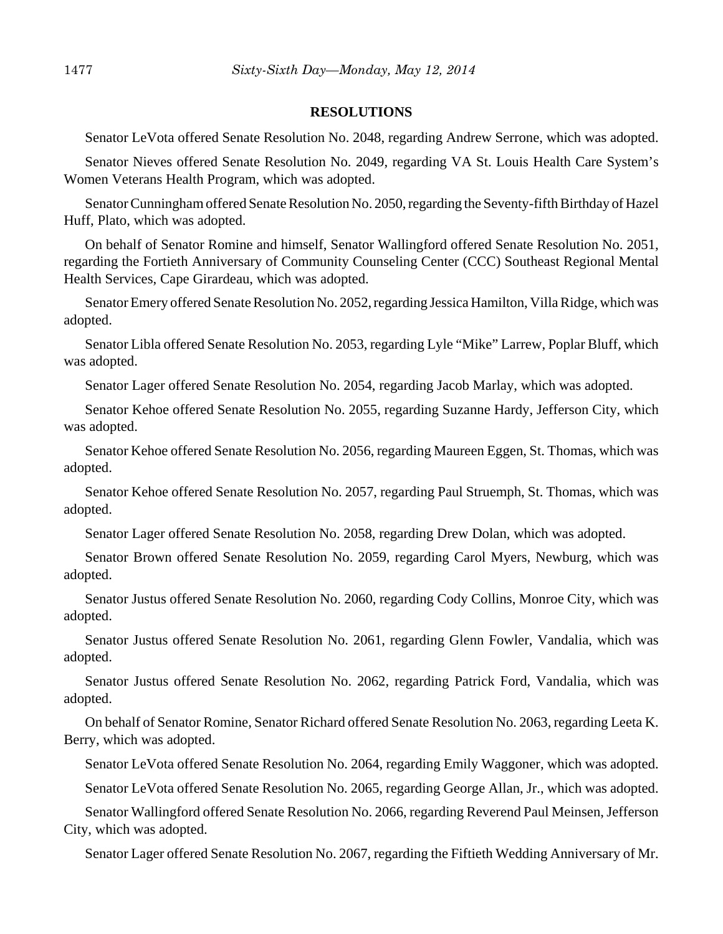#### **RESOLUTIONS**

Senator LeVota offered Senate Resolution No. 2048, regarding Andrew Serrone, which was adopted.

Senator Nieves offered Senate Resolution No. 2049, regarding VA St. Louis Health Care System's Women Veterans Health Program, which was adopted.

Senator Cunningham offered Senate Resolution No. 2050, regarding the Seventy-fifth Birthday of Hazel Huff, Plato, which was adopted.

On behalf of Senator Romine and himself, Senator Wallingford offered Senate Resolution No. 2051, regarding the Fortieth Anniversary of Community Counseling Center (CCC) Southeast Regional Mental Health Services, Cape Girardeau, which was adopted.

Senator Emery offered Senate Resolution No. 2052, regarding Jessica Hamilton, Villa Ridge, which was adopted.

Senator Libla offered Senate Resolution No. 2053, regarding Lyle "Mike" Larrew, Poplar Bluff, which was adopted.

Senator Lager offered Senate Resolution No. 2054, regarding Jacob Marlay, which was adopted.

Senator Kehoe offered Senate Resolution No. 2055, regarding Suzanne Hardy, Jefferson City, which was adopted.

Senator Kehoe offered Senate Resolution No. 2056, regarding Maureen Eggen, St. Thomas, which was adopted.

Senator Kehoe offered Senate Resolution No. 2057, regarding Paul Struemph, St. Thomas, which was adopted.

Senator Lager offered Senate Resolution No. 2058, regarding Drew Dolan, which was adopted.

Senator Brown offered Senate Resolution No. 2059, regarding Carol Myers, Newburg, which was adopted.

Senator Justus offered Senate Resolution No. 2060, regarding Cody Collins, Monroe City, which was adopted.

Senator Justus offered Senate Resolution No. 2061, regarding Glenn Fowler, Vandalia, which was adopted.

Senator Justus offered Senate Resolution No. 2062, regarding Patrick Ford, Vandalia, which was adopted.

On behalf of Senator Romine, Senator Richard offered Senate Resolution No. 2063, regarding Leeta K. Berry, which was adopted.

Senator LeVota offered Senate Resolution No. 2064, regarding Emily Waggoner, which was adopted.

Senator LeVota offered Senate Resolution No. 2065, regarding George Allan, Jr., which was adopted.

Senator Wallingford offered Senate Resolution No. 2066, regarding Reverend Paul Meinsen, Jefferson City, which was adopted.

Senator Lager offered Senate Resolution No. 2067, regarding the Fiftieth Wedding Anniversary of Mr.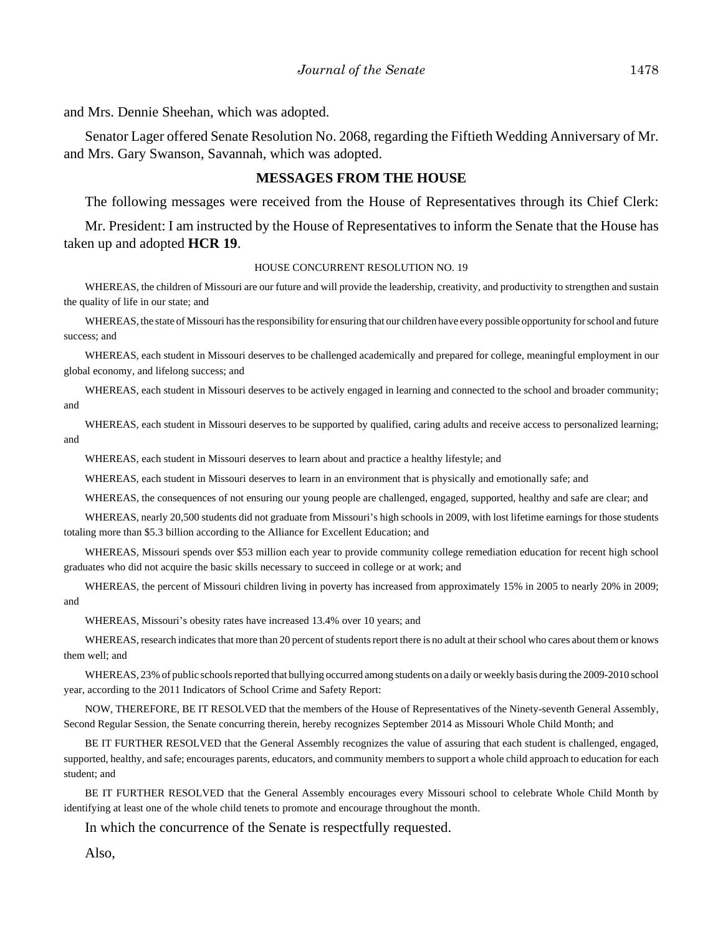and Mrs. Dennie Sheehan, which was adopted.

Senator Lager offered Senate Resolution No. 2068, regarding the Fiftieth Wedding Anniversary of Mr. and Mrs. Gary Swanson, Savannah, which was adopted.

#### **MESSAGES FROM THE HOUSE**

The following messages were received from the House of Representatives through its Chief Clerk:

Mr. President: I am instructed by the House of Representatives to inform the Senate that the House has taken up and adopted **HCR 19**.

#### HOUSE CONCURRENT RESOLUTION NO. 19

WHEREAS, the children of Missouri are our future and will provide the leadership, creativity, and productivity to strengthen and sustain the quality of life in our state; and

WHEREAS, the state of Missouri has the responsibility for ensuring that our children have every possible opportunity for school and future success; and

WHEREAS, each student in Missouri deserves to be challenged academically and prepared for college, meaningful employment in our global economy, and lifelong success; and

WHEREAS, each student in Missouri deserves to be actively engaged in learning and connected to the school and broader community; and

WHEREAS, each student in Missouri deserves to be supported by qualified, caring adults and receive access to personalized learning; and

WHEREAS, each student in Missouri deserves to learn about and practice a healthy lifestyle; and

WHEREAS, each student in Missouri deserves to learn in an environment that is physically and emotionally safe; and

WHEREAS, the consequences of not ensuring our young people are challenged, engaged, supported, healthy and safe are clear; and

WHEREAS, nearly 20,500 students did not graduate from Missouri's high schools in 2009, with lost lifetime earnings for those students totaling more than \$5.3 billion according to the Alliance for Excellent Education; and

WHEREAS, Missouri spends over \$53 million each year to provide community college remediation education for recent high school graduates who did not acquire the basic skills necessary to succeed in college or at work; and

WHEREAS, the percent of Missouri children living in poverty has increased from approximately 15% in 2005 to nearly 20% in 2009; and

WHEREAS, Missouri's obesity rates have increased 13.4% over 10 years; and

WHEREAS, research indicates that more than 20 percent of students report there is no adult at their school who cares about them or knows them well; and

WHEREAS, 23% of public schools reported that bullying occurred among students on a daily or weekly basis during the 2009-2010 school year, according to the 2011 Indicators of School Crime and Safety Report:

NOW, THEREFORE, BE IT RESOLVED that the members of the House of Representatives of the Ninety-seventh General Assembly, Second Regular Session, the Senate concurring therein, hereby recognizes September 2014 as Missouri Whole Child Month; and

BE IT FURTHER RESOLVED that the General Assembly recognizes the value of assuring that each student is challenged, engaged, supported, healthy, and safe; encourages parents, educators, and community members to support a whole child approach to education for each student; and

BE IT FURTHER RESOLVED that the General Assembly encourages every Missouri school to celebrate Whole Child Month by identifying at least one of the whole child tenets to promote and encourage throughout the month.

In which the concurrence of the Senate is respectfully requested.

Also,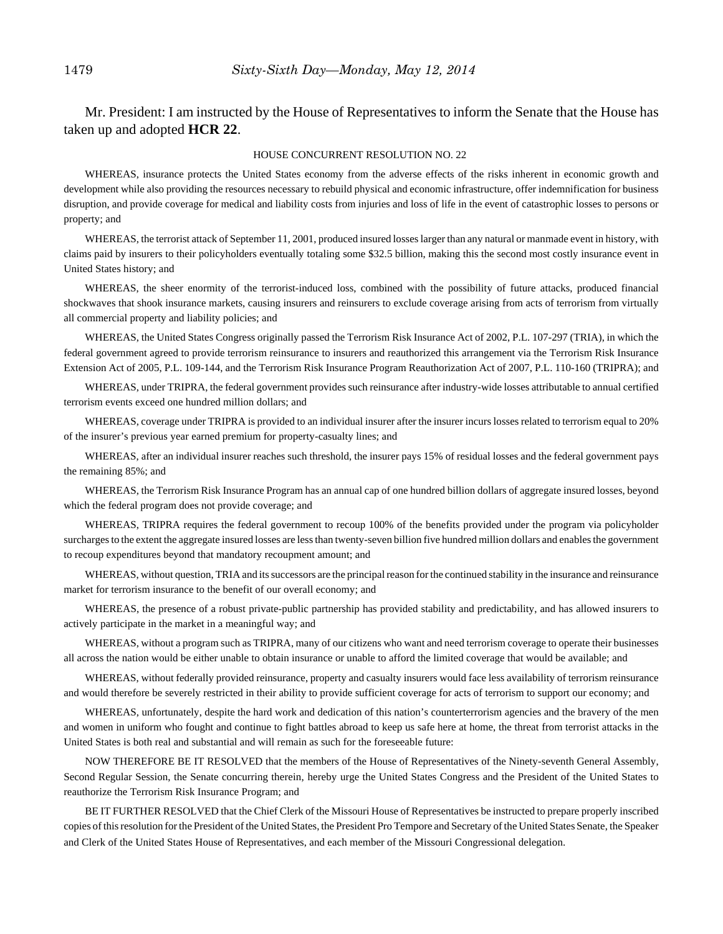Mr. President: I am instructed by the House of Representatives to inform the Senate that the House has taken up and adopted **HCR 22**.

#### HOUSE CONCURRENT RESOLUTION NO. 22

WHEREAS, insurance protects the United States economy from the adverse effects of the risks inherent in economic growth and development while also providing the resources necessary to rebuild physical and economic infrastructure, offer indemnification for business disruption, and provide coverage for medical and liability costs from injuries and loss of life in the event of catastrophic losses to persons or property; and

WHEREAS, the terrorist attack of September 11, 2001, produced insured losses larger than any natural or manmade event in history, with claims paid by insurers to their policyholders eventually totaling some \$32.5 billion, making this the second most costly insurance event in United States history; and

WHEREAS, the sheer enormity of the terrorist-induced loss, combined with the possibility of future attacks, produced financial shockwaves that shook insurance markets, causing insurers and reinsurers to exclude coverage arising from acts of terrorism from virtually all commercial property and liability policies; and

WHEREAS, the United States Congress originally passed the Terrorism Risk Insurance Act of 2002, P.L. 107-297 (TRIA), in which the federal government agreed to provide terrorism reinsurance to insurers and reauthorized this arrangement via the Terrorism Risk Insurance Extension Act of 2005, P.L. 109-144, and the Terrorism Risk Insurance Program Reauthorization Act of 2007, P.L. 110-160 (TRIPRA); and

WHEREAS, under TRIPRA, the federal government provides such reinsurance after industry-wide losses attributable to annual certified terrorism events exceed one hundred million dollars; and

WHEREAS, coverage under TRIPRA is provided to an individual insurer after the insurer incurs losses related to terrorism equal to 20% of the insurer's previous year earned premium for property-casualty lines; and

WHEREAS, after an individual insurer reaches such threshold, the insurer pays 15% of residual losses and the federal government pays the remaining 85%; and

WHEREAS, the Terrorism Risk Insurance Program has an annual cap of one hundred billion dollars of aggregate insured losses, beyond which the federal program does not provide coverage; and

WHEREAS, TRIPRA requires the federal government to recoup 100% of the benefits provided under the program via policyholder surcharges to the extent the aggregate insured losses are less than twenty-seven billion five hundred million dollars and enables the government to recoup expenditures beyond that mandatory recoupment amount; and

WHEREAS, without question, TRIA and its successors are the principal reason for the continued stability in the insurance and reinsurance market for terrorism insurance to the benefit of our overall economy; and

WHEREAS, the presence of a robust private-public partnership has provided stability and predictability, and has allowed insurers to actively participate in the market in a meaningful way; and

WHEREAS, without a program such as TRIPRA, many of our citizens who want and need terrorism coverage to operate their businesses all across the nation would be either unable to obtain insurance or unable to afford the limited coverage that would be available; and

WHEREAS, without federally provided reinsurance, property and casualty insurers would face less availability of terrorism reinsurance and would therefore be severely restricted in their ability to provide sufficient coverage for acts of terrorism to support our economy; and

WHEREAS, unfortunately, despite the hard work and dedication of this nation's counterterrorism agencies and the bravery of the men and women in uniform who fought and continue to fight battles abroad to keep us safe here at home, the threat from terrorist attacks in the United States is both real and substantial and will remain as such for the foreseeable future:

NOW THEREFORE BE IT RESOLVED that the members of the House of Representatives of the Ninety-seventh General Assembly, Second Regular Session, the Senate concurring therein, hereby urge the United States Congress and the President of the United States to reauthorize the Terrorism Risk Insurance Program; and

BE IT FURTHER RESOLVED that the Chief Clerk of the Missouri House of Representatives be instructed to prepare properly inscribed copies of this resolution for the President of the United States, the President Pro Tempore and Secretary of the United States Senate, the Speaker and Clerk of the United States House of Representatives, and each member of the Missouri Congressional delegation.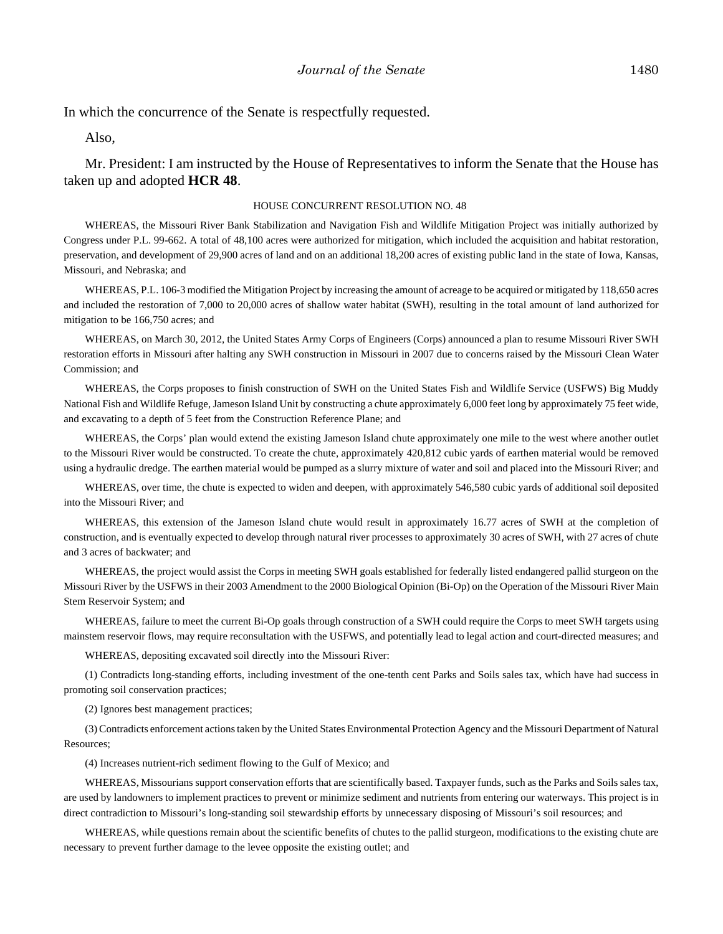In which the concurrence of the Senate is respectfully requested.

Also,

Mr. President: I am instructed by the House of Representatives to inform the Senate that the House has taken up and adopted **HCR 48**.

#### HOUSE CONCURRENT RESOLUTION NO. 48

WHEREAS, the Missouri River Bank Stabilization and Navigation Fish and Wildlife Mitigation Project was initially authorized by Congress under P.L. 99-662. A total of 48,100 acres were authorized for mitigation, which included the acquisition and habitat restoration, preservation, and development of 29,900 acres of land and on an additional 18,200 acres of existing public land in the state of Iowa, Kansas, Missouri, and Nebraska; and

WHEREAS, P.L. 106-3 modified the Mitigation Project by increasing the amount of acreage to be acquired or mitigated by 118,650 acres and included the restoration of 7,000 to 20,000 acres of shallow water habitat (SWH), resulting in the total amount of land authorized for mitigation to be 166,750 acres; and

WHEREAS, on March 30, 2012, the United States Army Corps of Engineers (Corps) announced a plan to resume Missouri River SWH restoration efforts in Missouri after halting any SWH construction in Missouri in 2007 due to concerns raised by the Missouri Clean Water Commission; and

WHEREAS, the Corps proposes to finish construction of SWH on the United States Fish and Wildlife Service (USFWS) Big Muddy National Fish and Wildlife Refuge, Jameson Island Unit by constructing a chute approximately 6,000 feet long by approximately 75 feet wide, and excavating to a depth of 5 feet from the Construction Reference Plane; and

WHEREAS, the Corps' plan would extend the existing Jameson Island chute approximately one mile to the west where another outlet to the Missouri River would be constructed. To create the chute, approximately 420,812 cubic yards of earthen material would be removed using a hydraulic dredge. The earthen material would be pumped as a slurry mixture of water and soil and placed into the Missouri River; and

WHEREAS, over time, the chute is expected to widen and deepen, with approximately 546,580 cubic yards of additional soil deposited into the Missouri River; and

WHEREAS, this extension of the Jameson Island chute would result in approximately 16.77 acres of SWH at the completion of construction, and is eventually expected to develop through natural river processes to approximately 30 acres of SWH, with 27 acres of chute and 3 acres of backwater; and

WHEREAS, the project would assist the Corps in meeting SWH goals established for federally listed endangered pallid sturgeon on the Missouri River by the USFWS in their 2003 Amendment to the 2000 Biological Opinion (Bi-Op) on the Operation of the Missouri River Main Stem Reservoir System; and

WHEREAS, failure to meet the current Bi-Op goals through construction of a SWH could require the Corps to meet SWH targets using mainstem reservoir flows, may require reconsultation with the USFWS, and potentially lead to legal action and court-directed measures; and

WHEREAS, depositing excavated soil directly into the Missouri River:

(1) Contradicts long-standing efforts, including investment of the one-tenth cent Parks and Soils sales tax, which have had success in promoting soil conservation practices;

(2) Ignores best management practices;

(3) Contradicts enforcement actions taken by the United States Environmental Protection Agency and the Missouri Department of Natural Resources;

(4) Increases nutrient-rich sediment flowing to the Gulf of Mexico; and

WHEREAS, Missourians support conservation efforts that are scientifically based. Taxpayer funds, such as the Parks and Soils sales tax, are used by landowners to implement practices to prevent or minimize sediment and nutrients from entering our waterways. This project is in direct contradiction to Missouri's long-standing soil stewardship efforts by unnecessary disposing of Missouri's soil resources; and

WHEREAS, while questions remain about the scientific benefits of chutes to the pallid sturgeon, modifications to the existing chute are necessary to prevent further damage to the levee opposite the existing outlet; and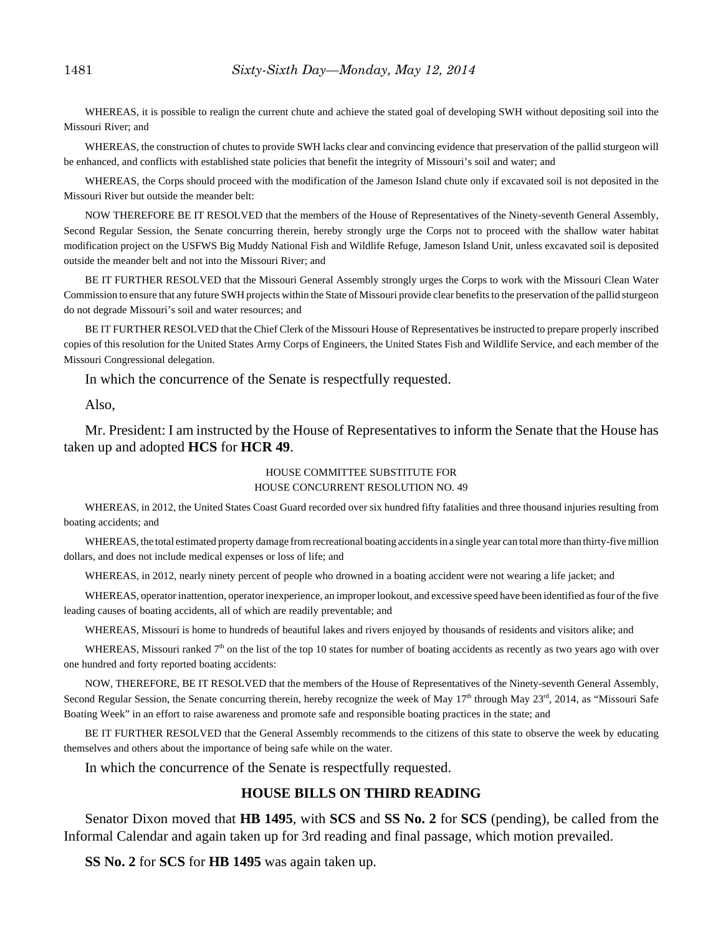WHEREAS, it is possible to realign the current chute and achieve the stated goal of developing SWH without depositing soil into the Missouri River; and

WHEREAS, the construction of chutes to provide SWH lacks clear and convincing evidence that preservation of the pallid sturgeon will be enhanced, and conflicts with established state policies that benefit the integrity of Missouri's soil and water; and

WHEREAS, the Corps should proceed with the modification of the Jameson Island chute only if excavated soil is not deposited in the Missouri River but outside the meander belt:

NOW THEREFORE BE IT RESOLVED that the members of the House of Representatives of the Ninety-seventh General Assembly, Second Regular Session, the Senate concurring therein, hereby strongly urge the Corps not to proceed with the shallow water habitat modification project on the USFWS Big Muddy National Fish and Wildlife Refuge, Jameson Island Unit, unless excavated soil is deposited outside the meander belt and not into the Missouri River; and

BE IT FURTHER RESOLVED that the Missouri General Assembly strongly urges the Corps to work with the Missouri Clean Water Commission to ensure that any future SWH projects within the State of Missouri provide clear benefits to the preservation of the pallid sturgeon do not degrade Missouri's soil and water resources; and

BE IT FURTHER RESOLVED that the Chief Clerk of the Missouri House of Representatives be instructed to prepare properly inscribed copies of this resolution for the United States Army Corps of Engineers, the United States Fish and Wildlife Service, and each member of the Missouri Congressional delegation.

In which the concurrence of the Senate is respectfully requested.

Also,

Mr. President: I am instructed by the House of Representatives to inform the Senate that the House has taken up and adopted **HCS** for **HCR 49**.

# HOUSE COMMITTEE SUBSTITUTE FOR

#### HOUSE CONCURRENT RESOLUTION NO. 49

WHEREAS, in 2012, the United States Coast Guard recorded over six hundred fifty fatalities and three thousand injuries resulting from boating accidents; and

WHEREAS, the total estimated property damage from recreational boating accidents in a single year can total more than thirty-five million dollars, and does not include medical expenses or loss of life; and

WHEREAS, in 2012, nearly ninety percent of people who drowned in a boating accident were not wearing a life jacket; and

WHEREAS, operator inattention, operator inexperience, an improper lookout, and excessive speed have been identified as four of the five leading causes of boating accidents, all of which are readily preventable; and

WHEREAS, Missouri is home to hundreds of beautiful lakes and rivers enjoyed by thousands of residents and visitors alike; and

WHEREAS, Missouri ranked  $7<sup>th</sup>$  on the list of the top 10 states for number of boating accidents as recently as two years ago with over one hundred and forty reported boating accidents:

NOW, THEREFORE, BE IT RESOLVED that the members of the House of Representatives of the Ninety-seventh General Assembly, Second Regular Session, the Senate concurring therein, hereby recognize the week of May  $17<sup>th</sup>$  through May  $23<sup>rd</sup>$ ,  $2014$ , as "Missouri Safe Boating Week" in an effort to raise awareness and promote safe and responsible boating practices in the state; and

BE IT FURTHER RESOLVED that the General Assembly recommends to the citizens of this state to observe the week by educating themselves and others about the importance of being safe while on the water.

In which the concurrence of the Senate is respectfully requested.

## **HOUSE BILLS ON THIRD READING**

Senator Dixon moved that **HB 1495**, with **SCS** and **SS No. 2** for **SCS** (pending), be called from the Informal Calendar and again taken up for 3rd reading and final passage, which motion prevailed.

**SS No. 2** for **SCS** for **HB 1495** was again taken up.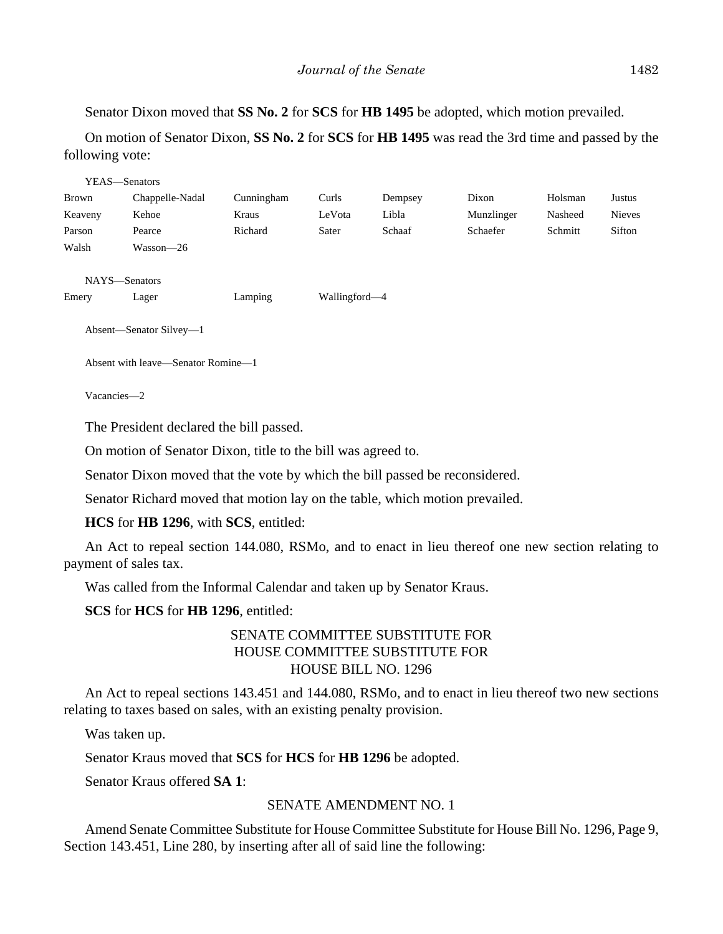Senator Dixon moved that **SS No. 2** for **SCS** for **HB 1495** be adopted, which motion prevailed.

On motion of Senator Dixon, **SS No. 2** for **SCS** for **HB 1495** was read the 3rd time and passed by the following vote:

| YEAS—Senators                      |                         |            |               |         |            |         |               |
|------------------------------------|-------------------------|------------|---------------|---------|------------|---------|---------------|
| <b>Brown</b>                       | Chappelle-Nadal         | Cunningham | Curls         | Dempsey | Dixon      | Holsman | Justus        |
| Keaveny                            | Kehoe                   | Kraus      | LeVota        | Libla   | Munzlinger | Nasheed | <b>Nieves</b> |
| Parson                             | Pearce                  | Richard    | Sater         | Schaaf  | Schaefer   | Schmitt | Sifton        |
| Walsh                              | Wasson-26               |            |               |         |            |         |               |
|                                    |                         |            |               |         |            |         |               |
| NAYS-Senators                      |                         |            |               |         |            |         |               |
| Emery                              | Lager                   | Lamping    | Wallingford—4 |         |            |         |               |
|                                    |                         |            |               |         |            |         |               |
|                                    | Absent—Senator Silvey—1 |            |               |         |            |         |               |
|                                    |                         |            |               |         |            |         |               |
| Absent with leave—Senator Romine—1 |                         |            |               |         |            |         |               |

Vacancies—2

The President declared the bill passed.

On motion of Senator Dixon, title to the bill was agreed to.

Senator Dixon moved that the vote by which the bill passed be reconsidered.

Senator Richard moved that motion lay on the table, which motion prevailed.

**HCS** for **HB 1296**, with **SCS**, entitled:

An Act to repeal section 144.080, RSMo, and to enact in lieu thereof one new section relating to payment of sales tax.

Was called from the Informal Calendar and taken up by Senator Kraus.

**SCS** for **HCS** for **HB 1296**, entitled:

## SENATE COMMITTEE SUBSTITUTE FOR HOUSE COMMITTEE SUBSTITUTE FOR HOUSE BILL NO. 1296

An Act to repeal sections 143.451 and 144.080, RSMo, and to enact in lieu thereof two new sections relating to taxes based on sales, with an existing penalty provision.

Was taken up.

Senator Kraus moved that **SCS** for **HCS** for **HB 1296** be adopted.

Senator Kraus offered **SA 1**:

## SENATE AMENDMENT NO. 1

Amend Senate Committee Substitute for House Committee Substitute for House Bill No. 1296, Page 9, Section 143.451, Line 280, by inserting after all of said line the following: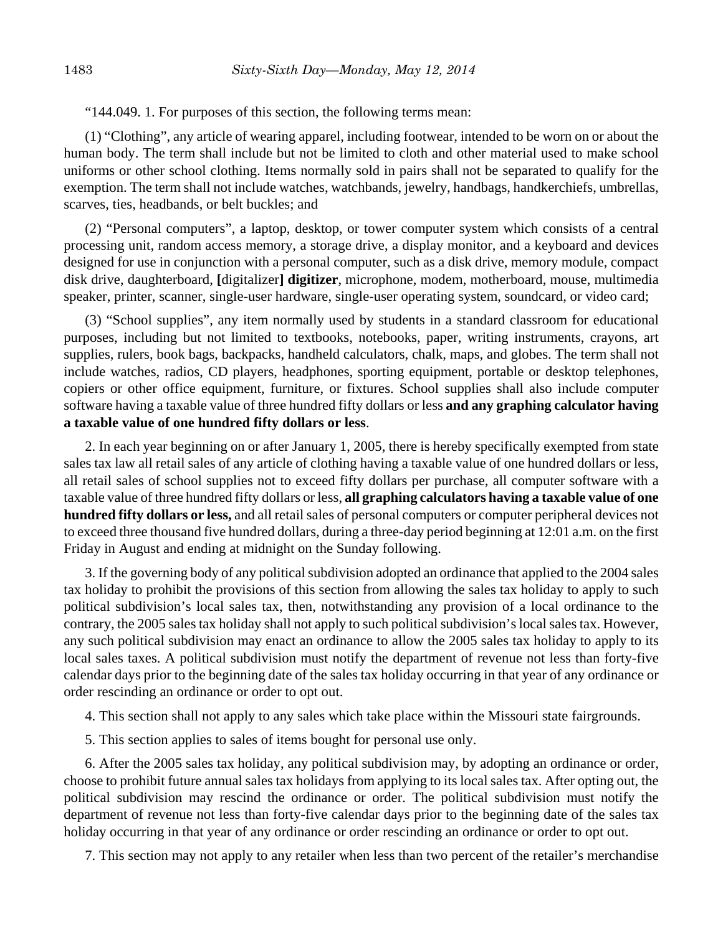"144.049. 1. For purposes of this section, the following terms mean:

(1) "Clothing", any article of wearing apparel, including footwear, intended to be worn on or about the human body. The term shall include but not be limited to cloth and other material used to make school uniforms or other school clothing. Items normally sold in pairs shall not be separated to qualify for the exemption. The term shall not include watches, watchbands, jewelry, handbags, handkerchiefs, umbrellas, scarves, ties, headbands, or belt buckles; and

(2) "Personal computers", a laptop, desktop, or tower computer system which consists of a central processing unit, random access memory, a storage drive, a display monitor, and a keyboard and devices designed for use in conjunction with a personal computer, such as a disk drive, memory module, compact disk drive, daughterboard, **[**digitalizer**] digitizer**, microphone, modem, motherboard, mouse, multimedia speaker, printer, scanner, single-user hardware, single-user operating system, soundcard, or video card;

(3) "School supplies", any item normally used by students in a standard classroom for educational purposes, including but not limited to textbooks, notebooks, paper, writing instruments, crayons, art supplies, rulers, book bags, backpacks, handheld calculators, chalk, maps, and globes. The term shall not include watches, radios, CD players, headphones, sporting equipment, portable or desktop telephones, copiers or other office equipment, furniture, or fixtures. School supplies shall also include computer software having a taxable value of three hundred fifty dollars or less **and any graphing calculator having a taxable value of one hundred fifty dollars or less**.

2. In each year beginning on or after January 1, 2005, there is hereby specifically exempted from state sales tax law all retail sales of any article of clothing having a taxable value of one hundred dollars or less, all retail sales of school supplies not to exceed fifty dollars per purchase, all computer software with a taxable value of three hundred fifty dollars or less, **all graphing calculators having a taxable value of one hundred fifty dollars or less,** and all retail sales of personal computers or computer peripheral devices not to exceed three thousand five hundred dollars, during a three-day period beginning at 12:01 a.m. on the first Friday in August and ending at midnight on the Sunday following.

3. If the governing body of any political subdivision adopted an ordinance that applied to the 2004 sales tax holiday to prohibit the provisions of this section from allowing the sales tax holiday to apply to such political subdivision's local sales tax, then, notwithstanding any provision of a local ordinance to the contrary, the 2005 sales tax holiday shall not apply to such political subdivision's local sales tax. However, any such political subdivision may enact an ordinance to allow the 2005 sales tax holiday to apply to its local sales taxes. A political subdivision must notify the department of revenue not less than forty-five calendar days prior to the beginning date of the sales tax holiday occurring in that year of any ordinance or order rescinding an ordinance or order to opt out.

- 4. This section shall not apply to any sales which take place within the Missouri state fairgrounds.
- 5. This section applies to sales of items bought for personal use only.

6. After the 2005 sales tax holiday, any political subdivision may, by adopting an ordinance or order, choose to prohibit future annual sales tax holidays from applying to its local sales tax. After opting out, the political subdivision may rescind the ordinance or order. The political subdivision must notify the department of revenue not less than forty-five calendar days prior to the beginning date of the sales tax holiday occurring in that year of any ordinance or order rescinding an ordinance or order to opt out.

7. This section may not apply to any retailer when less than two percent of the retailer's merchandise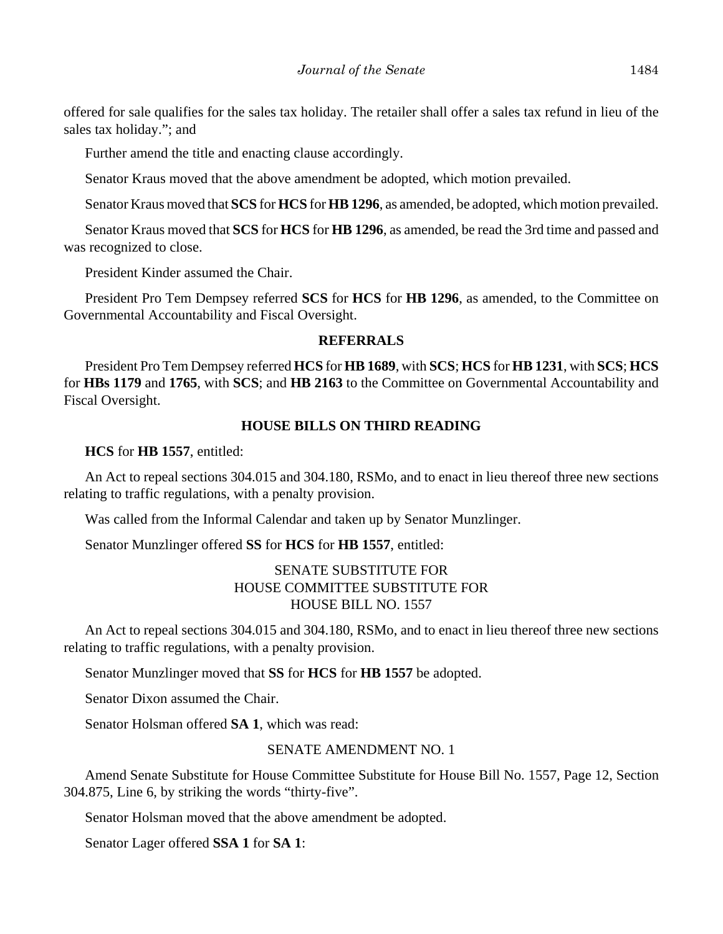offered for sale qualifies for the sales tax holiday. The retailer shall offer a sales tax refund in lieu of the sales tax holiday."; and

Further amend the title and enacting clause accordingly.

Senator Kraus moved that the above amendment be adopted, which motion prevailed.

Senator Kraus moved that **SCS** for **HCS** for **HB 1296**, as amended, be adopted, which motion prevailed.

Senator Kraus moved that **SCS** for **HCS** for **HB 1296**, as amended, be read the 3rd time and passed and was recognized to close.

President Kinder assumed the Chair.

President Pro Tem Dempsey referred **SCS** for **HCS** for **HB 1296**, as amended, to the Committee on Governmental Accountability and Fiscal Oversight.

#### **REFERRALS**

President Pro Tem Dempsey referred **HCS** for **HB 1689**, with **SCS**; **HCS** for **HB 1231**, with **SCS**; **HCS** for **HBs 1179** and **1765**, with **SCS**; and **HB 2163** to the Committee on Governmental Accountability and Fiscal Oversight.

#### **HOUSE BILLS ON THIRD READING**

**HCS** for **HB 1557**, entitled:

An Act to repeal sections 304.015 and 304.180, RSMo, and to enact in lieu thereof three new sections relating to traffic regulations, with a penalty provision.

Was called from the Informal Calendar and taken up by Senator Munzlinger.

Senator Munzlinger offered **SS** for **HCS** for **HB 1557**, entitled:

## SENATE SUBSTITUTE FOR HOUSE COMMITTEE SUBSTITUTE FOR HOUSE BILL NO. 1557

An Act to repeal sections 304.015 and 304.180, RSMo, and to enact in lieu thereof three new sections relating to traffic regulations, with a penalty provision.

Senator Munzlinger moved that **SS** for **HCS** for **HB 1557** be adopted.

Senator Dixon assumed the Chair.

Senator Holsman offered **SA 1**, which was read:

#### SENATE AMENDMENT NO. 1

Amend Senate Substitute for House Committee Substitute for House Bill No. 1557, Page 12, Section 304.875, Line 6, by striking the words "thirty-five".

Senator Holsman moved that the above amendment be adopted.

Senator Lager offered **SSA 1** for **SA 1**: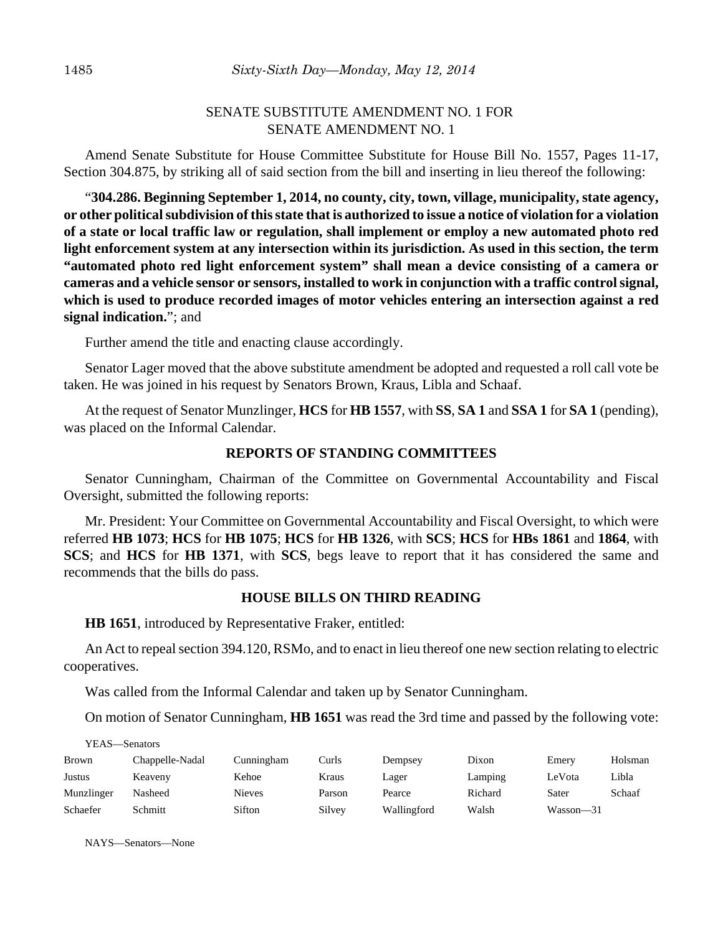## SENATE SUBSTITUTE AMENDMENT NO. 1 FOR SENATE AMENDMENT NO. 1

Amend Senate Substitute for House Committee Substitute for House Bill No. 1557, Pages 11-17, Section 304.875, by striking all of said section from the bill and inserting in lieu thereof the following:

"**304.286. Beginning September 1, 2014, no county, city, town, village, municipality, state agency, or other political subdivision of this state that is authorized to issue a notice of violation for a violation of a state or local traffic law or regulation, shall implement or employ a new automated photo red light enforcement system at any intersection within its jurisdiction. As used in this section, the term "automated photo red light enforcement system" shall mean a device consisting of a camera or cameras and a vehicle sensor or sensors, installed to work in conjunction with a traffic control signal, which is used to produce recorded images of motor vehicles entering an intersection against a red signal indication.**"; and

Further amend the title and enacting clause accordingly.

Senator Lager moved that the above substitute amendment be adopted and requested a roll call vote be taken. He was joined in his request by Senators Brown, Kraus, Libla and Schaaf.

At the request of Senator Munzlinger, **HCS** for **HB 1557**, with **SS**, **SA 1** and **SSA 1** for **SA 1** (pending), was placed on the Informal Calendar.

#### **REPORTS OF STANDING COMMITTEES**

Senator Cunningham, Chairman of the Committee on Governmental Accountability and Fiscal Oversight, submitted the following reports:

Mr. President: Your Committee on Governmental Accountability and Fiscal Oversight, to which were referred **HB 1073**; **HCS** for **HB 1075**; **HCS** for **HB 1326**, with **SCS**; **HCS** for **HBs 1861** and **1864**, with **SCS**; and **HCS** for **HB 1371**, with **SCS**, begs leave to report that it has considered the same and recommends that the bills do pass.

#### **HOUSE BILLS ON THIRD READING**

**HB 1651**, introduced by Representative Fraker, entitled:

An Act to repeal section 394.120, RSMo, and to enact in lieu thereof one new section relating to electric cooperatives.

Was called from the Informal Calendar and taken up by Senator Cunningham.

On motion of Senator Cunningham, **HB 1651** was read the 3rd time and passed by the following vote:

| YEAS—Senators |                 |               |        |             |         |           |         |  |
|---------------|-----------------|---------------|--------|-------------|---------|-----------|---------|--|
| <b>Brown</b>  | Chappelle-Nadal | Cunningham    | Curls  | Dempsey     | Dixon   | Emery     | Holsman |  |
| Justus        | Keaveny         | Kehoe         | Kraus  | Lager       | Lamping | LeVota    | Libla   |  |
| Munzlinger    | Nasheed         | <b>Nieves</b> | Parson | Pearce      | Richard | Sater     | Schaaf  |  |
| Schaefer      | Schmitt         | Sifton        | Silvey | Wallingford | Walsh   | Wasson-31 |         |  |

NAYS—Senators—None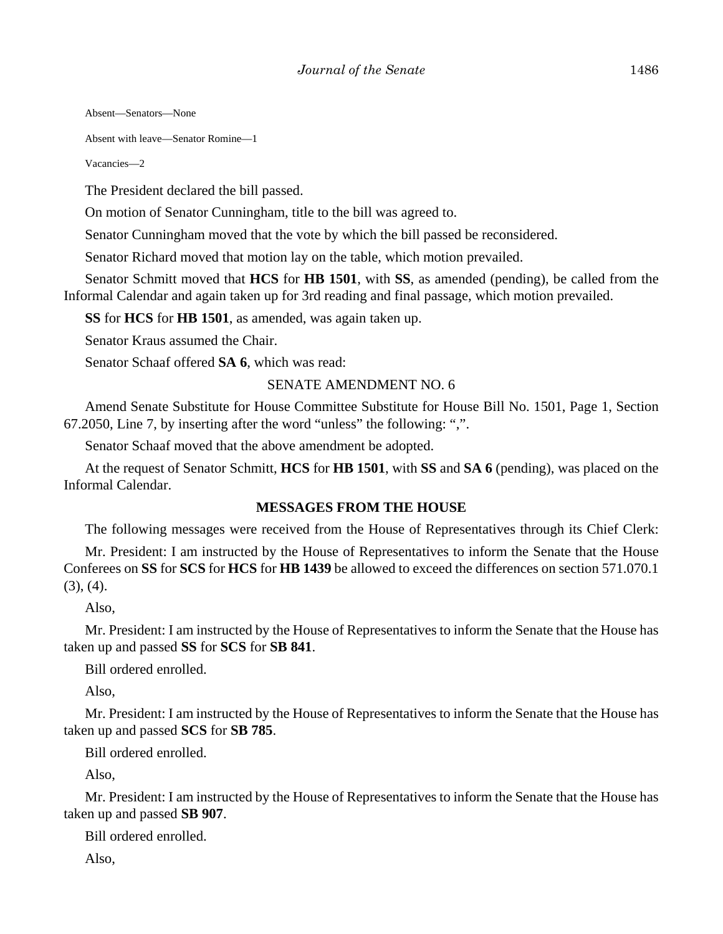Absent—Senators—None

Absent with leave—Senator Romine—1

Vacancies—2

The President declared the bill passed.

On motion of Senator Cunningham, title to the bill was agreed to.

Senator Cunningham moved that the vote by which the bill passed be reconsidered.

Senator Richard moved that motion lay on the table, which motion prevailed.

Senator Schmitt moved that **HCS** for **HB 1501**, with **SS**, as amended (pending), be called from the Informal Calendar and again taken up for 3rd reading and final passage, which motion prevailed.

**SS** for **HCS** for **HB 1501**, as amended, was again taken up.

Senator Kraus assumed the Chair.

Senator Schaaf offered **SA 6**, which was read:

#### SENATE AMENDMENT NO. 6

Amend Senate Substitute for House Committee Substitute for House Bill No. 1501, Page 1, Section 67.2050, Line 7, by inserting after the word "unless" the following: ",".

Senator Schaaf moved that the above amendment be adopted.

At the request of Senator Schmitt, **HCS** for **HB 1501**, with **SS** and **SA 6** (pending), was placed on the Informal Calendar.

#### **MESSAGES FROM THE HOUSE**

The following messages were received from the House of Representatives through its Chief Clerk:

Mr. President: I am instructed by the House of Representatives to inform the Senate that the House Conferees on **SS** for **SCS** for **HCS** for **HB 1439** be allowed to exceed the differences on section 571.070.1  $(3), (4)$ .

Also,

Mr. President: I am instructed by the House of Representatives to inform the Senate that the House has taken up and passed **SS** for **SCS** for **SB 841**.

Bill ordered enrolled.

Also,

Mr. President: I am instructed by the House of Representatives to inform the Senate that the House has taken up and passed **SCS** for **SB 785**.

Bill ordered enrolled.

Also,

Mr. President: I am instructed by the House of Representatives to inform the Senate that the House has taken up and passed **SB 907**.

Bill ordered enrolled.

Also,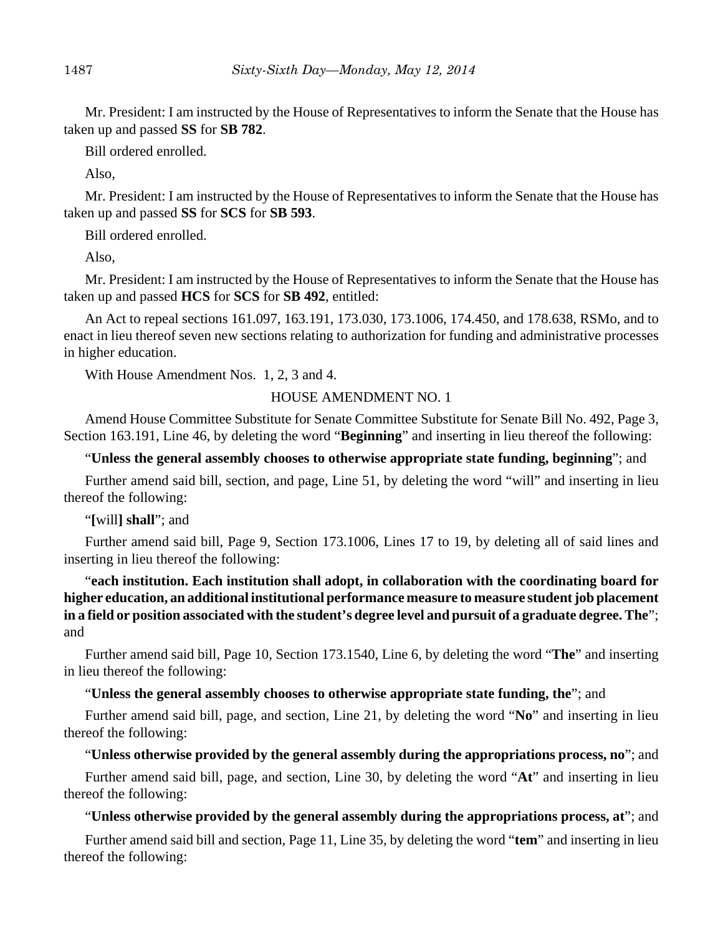Mr. President: I am instructed by the House of Representatives to inform the Senate that the House has taken up and passed **SS** for **SB 782**.

Bill ordered enrolled.

Also,

Mr. President: I am instructed by the House of Representatives to inform the Senate that the House has taken up and passed **SS** for **SCS** for **SB 593**.

Bill ordered enrolled.

Also,

Mr. President: I am instructed by the House of Representatives to inform the Senate that the House has taken up and passed **HCS** for **SCS** for **SB 492**, entitled:

An Act to repeal sections 161.097, 163.191, 173.030, 173.1006, 174.450, and 178.638, RSMo, and to enact in lieu thereof seven new sections relating to authorization for funding and administrative processes in higher education.

With House Amendment Nos. 1, 2, 3 and 4.

## HOUSE AMENDMENT NO. 1

Amend House Committee Substitute for Senate Committee Substitute for Senate Bill No. 492, Page 3, Section 163.191, Line 46, by deleting the word "**Beginning**" and inserting in lieu thereof the following:

"**Unless the general assembly chooses to otherwise appropriate state funding, beginning**"; and

Further amend said bill, section, and page, Line 51, by deleting the word "will" and inserting in lieu thereof the following:

"**[**will**] shall**"; and

Further amend said bill, Page 9, Section 173.1006, Lines 17 to 19, by deleting all of said lines and inserting in lieu thereof the following:

"**each institution. Each institution shall adopt, in collaboration with the coordinating board for higher education, an additional institutional performance measure to measure student job placement in a field or position associated with the student's degree level and pursuit of a graduate degree. The**"; and

Further amend said bill, Page 10, Section 173.1540, Line 6, by deleting the word "**The**" and inserting in lieu thereof the following:

## "**Unless the general assembly chooses to otherwise appropriate state funding, the**"; and

Further amend said bill, page, and section, Line 21, by deleting the word "**No**" and inserting in lieu thereof the following:

## "**Unless otherwise provided by the general assembly during the appropriations process, no**"; and

Further amend said bill, page, and section, Line 30, by deleting the word "**At**" and inserting in lieu thereof the following:

## "**Unless otherwise provided by the general assembly during the appropriations process, at**"; and

Further amend said bill and section, Page 11, Line 35, by deleting the word "**tem**" and inserting in lieu thereof the following: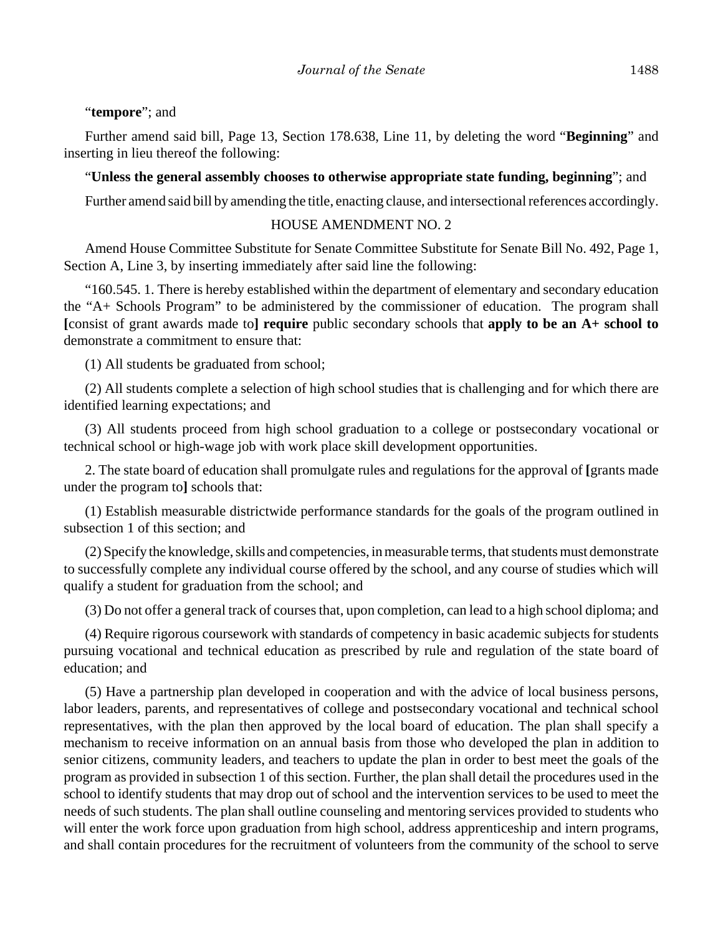#### "**tempore**"; and

Further amend said bill, Page 13, Section 178.638, Line 11, by deleting the word "**Beginning**" and inserting in lieu thereof the following:

#### "**Unless the general assembly chooses to otherwise appropriate state funding, beginning**"; and

Further amend said bill by amending the title, enacting clause, and intersectional references accordingly.

#### HOUSE AMENDMENT NO. 2

Amend House Committee Substitute for Senate Committee Substitute for Senate Bill No. 492, Page 1, Section A, Line 3, by inserting immediately after said line the following:

"160.545. 1. There is hereby established within the department of elementary and secondary education the "A+ Schools Program" to be administered by the commissioner of education. The program shall **[**consist of grant awards made to**] require** public secondary schools that **apply to be an A+ school to** demonstrate a commitment to ensure that:

(1) All students be graduated from school;

(2) All students complete a selection of high school studies that is challenging and for which there are identified learning expectations; and

(3) All students proceed from high school graduation to a college or postsecondary vocational or technical school or high-wage job with work place skill development opportunities.

2. The state board of education shall promulgate rules and regulations for the approval of **[**grants made under the program to**]** schools that:

(1) Establish measurable districtwide performance standards for the goals of the program outlined in subsection 1 of this section; and

(2) Specify the knowledge, skills and competencies, in measurable terms, that students must demonstrate to successfully complete any individual course offered by the school, and any course of studies which will qualify a student for graduation from the school; and

(3) Do not offer a general track of courses that, upon completion, can lead to a high school diploma; and

(4) Require rigorous coursework with standards of competency in basic academic subjects for students pursuing vocational and technical education as prescribed by rule and regulation of the state board of education; and

(5) Have a partnership plan developed in cooperation and with the advice of local business persons, labor leaders, parents, and representatives of college and postsecondary vocational and technical school representatives, with the plan then approved by the local board of education. The plan shall specify a mechanism to receive information on an annual basis from those who developed the plan in addition to senior citizens, community leaders, and teachers to update the plan in order to best meet the goals of the program as provided in subsection 1 of this section. Further, the plan shall detail the procedures used in the school to identify students that may drop out of school and the intervention services to be used to meet the needs of such students. The plan shall outline counseling and mentoring services provided to students who will enter the work force upon graduation from high school, address apprenticeship and intern programs, and shall contain procedures for the recruitment of volunteers from the community of the school to serve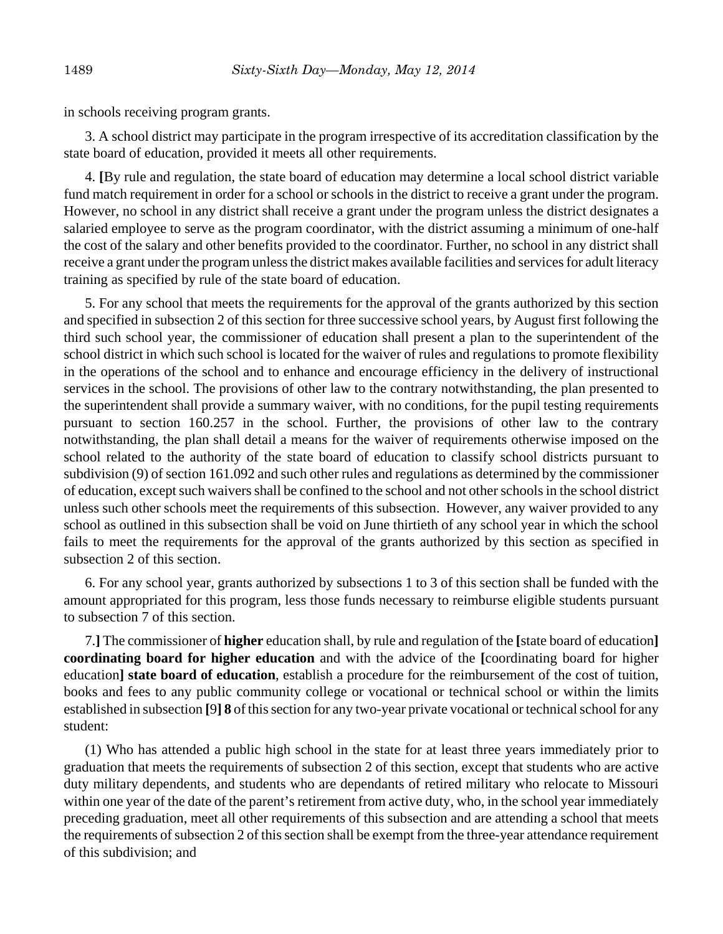in schools receiving program grants.

3. A school district may participate in the program irrespective of its accreditation classification by the state board of education, provided it meets all other requirements.

4. **[**By rule and regulation, the state board of education may determine a local school district variable fund match requirement in order for a school or schools in the district to receive a grant under the program. However, no school in any district shall receive a grant under the program unless the district designates a salaried employee to serve as the program coordinator, with the district assuming a minimum of one-half the cost of the salary and other benefits provided to the coordinator. Further, no school in any district shall receive a grant under the program unless the district makes available facilities and services for adult literacy training as specified by rule of the state board of education.

5. For any school that meets the requirements for the approval of the grants authorized by this section and specified in subsection 2 of this section for three successive school years, by August first following the third such school year, the commissioner of education shall present a plan to the superintendent of the school district in which such school is located for the waiver of rules and regulations to promote flexibility in the operations of the school and to enhance and encourage efficiency in the delivery of instructional services in the school. The provisions of other law to the contrary notwithstanding, the plan presented to the superintendent shall provide a summary waiver, with no conditions, for the pupil testing requirements pursuant to section 160.257 in the school. Further, the provisions of other law to the contrary notwithstanding, the plan shall detail a means for the waiver of requirements otherwise imposed on the school related to the authority of the state board of education to classify school districts pursuant to subdivision (9) of section 161.092 and such other rules and regulations as determined by the commissioner of education, except such waivers shall be confined to the school and not other schools in the school district unless such other schools meet the requirements of this subsection. However, any waiver provided to any school as outlined in this subsection shall be void on June thirtieth of any school year in which the school fails to meet the requirements for the approval of the grants authorized by this section as specified in subsection 2 of this section.

6. For any school year, grants authorized by subsections 1 to 3 of this section shall be funded with the amount appropriated for this program, less those funds necessary to reimburse eligible students pursuant to subsection 7 of this section.

7.**]** The commissioner of **higher** education shall, by rule and regulation of the **[**state board of education**] coordinating board for higher education** and with the advice of the **[**coordinating board for higher education**] state board of education**, establish a procedure for the reimbursement of the cost of tuition, books and fees to any public community college or vocational or technical school or within the limits established in subsection **[**9**] 8** of this section for any two-year private vocational or technical school for any student:

(1) Who has attended a public high school in the state for at least three years immediately prior to graduation that meets the requirements of subsection 2 of this section, except that students who are active duty military dependents, and students who are dependants of retired military who relocate to Missouri within one year of the date of the parent's retirement from active duty, who, in the school year immediately preceding graduation, meet all other requirements of this subsection and are attending a school that meets the requirements of subsection 2 of this section shall be exempt from the three-year attendance requirement of this subdivision; and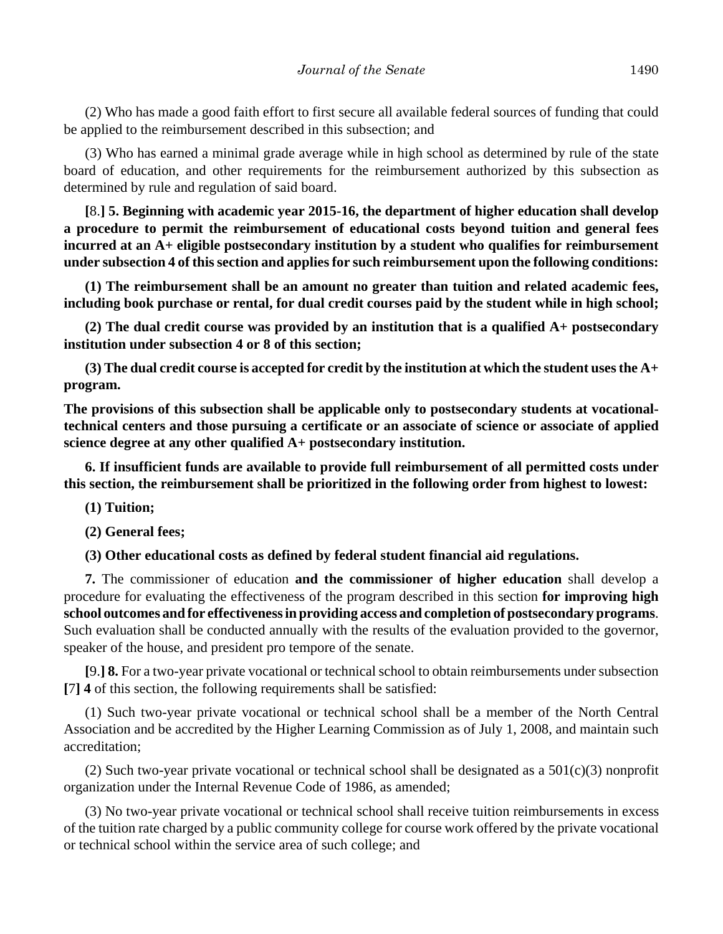(2) Who has made a good faith effort to first secure all available federal sources of funding that could be applied to the reimbursement described in this subsection; and

(3) Who has earned a minimal grade average while in high school as determined by rule of the state board of education, and other requirements for the reimbursement authorized by this subsection as determined by rule and regulation of said board.

**[**8.**] 5. Beginning with academic year 2015-16, the department of higher education shall develop a procedure to permit the reimbursement of educational costs beyond tuition and general fees incurred at an A+ eligible postsecondary institution by a student who qualifies for reimbursement under subsection 4 of this section and applies for such reimbursement upon the following conditions:**

**(1) The reimbursement shall be an amount no greater than tuition and related academic fees, including book purchase or rental, for dual credit courses paid by the student while in high school;**

**(2) The dual credit course was provided by an institution that is a qualified A+ postsecondary institution under subsection 4 or 8 of this section;**

**(3) The dual credit course is accepted for credit by the institution at which the student uses the A+ program.**

**The provisions of this subsection shall be applicable only to postsecondary students at vocationaltechnical centers and those pursuing a certificate or an associate of science or associate of applied science degree at any other qualified A+ postsecondary institution.**

**6. If insufficient funds are available to provide full reimbursement of all permitted costs under this section, the reimbursement shall be prioritized in the following order from highest to lowest:**

- **(1) Tuition;**
- **(2) General fees;**

**(3) Other educational costs as defined by federal student financial aid regulations.**

**7.** The commissioner of education **and the commissioner of higher education** shall develop a procedure for evaluating the effectiveness of the program described in this section **for improving high school outcomes and for effectiveness in providing access and completion of postsecondary programs**. Such evaluation shall be conducted annually with the results of the evaluation provided to the governor, speaker of the house, and president pro tempore of the senate.

**[**9.**] 8.** For a two-year private vocational or technical school to obtain reimbursements under subsection **[**7**] 4** of this section, the following requirements shall be satisfied:

(1) Such two-year private vocational or technical school shall be a member of the North Central Association and be accredited by the Higher Learning Commission as of July 1, 2008, and maintain such accreditation;

(2) Such two-year private vocational or technical school shall be designated as a  $501(c)(3)$  nonprofit organization under the Internal Revenue Code of 1986, as amended;

(3) No two-year private vocational or technical school shall receive tuition reimbursements in excess of the tuition rate charged by a public community college for course work offered by the private vocational or technical school within the service area of such college; and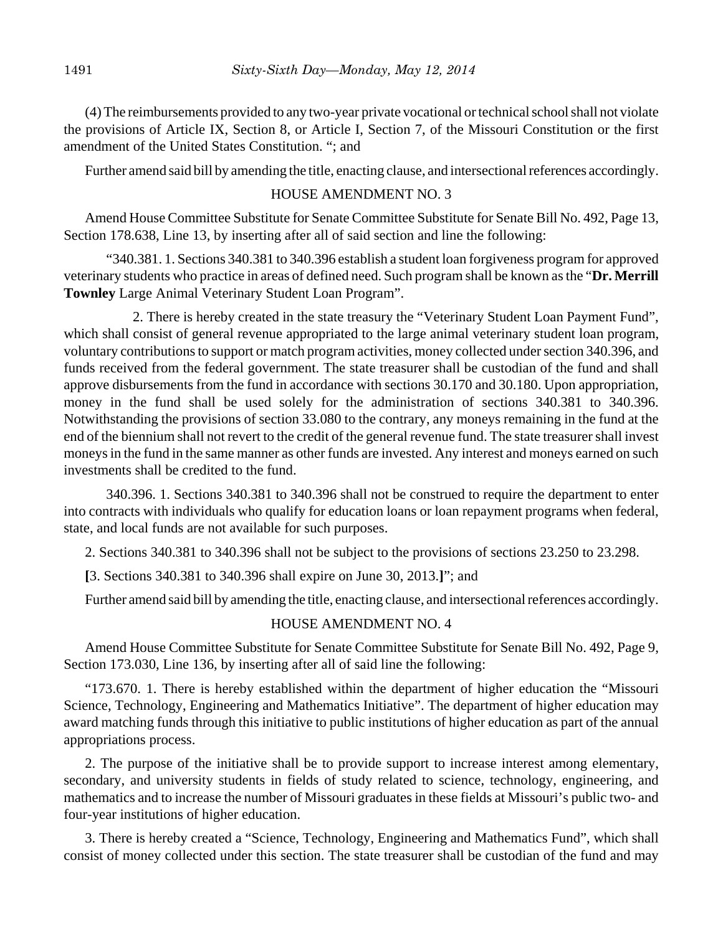(4) The reimbursements provided to any two-year private vocational or technical school shall not violate the provisions of Article IX, Section 8, or Article I, Section 7, of the Missouri Constitution or the first amendment of the United States Constitution. "; and

Further amend said bill by amending the title, enacting clause, and intersectional references accordingly.

## HOUSE AMENDMENT NO. 3

Amend House Committee Substitute for Senate Committee Substitute for Senate Bill No. 492, Page 13, Section 178.638, Line 13, by inserting after all of said section and line the following:

"340.381. 1. Sections 340.381 to 340.396 establish a student loan forgiveness program for approved veterinary students who practice in areas of defined need. Such program shall be known as the "**Dr. Merrill Townley** Large Animal Veterinary Student Loan Program".

2. There is hereby created in the state treasury the "Veterinary Student Loan Payment Fund", which shall consist of general revenue appropriated to the large animal veterinary student loan program, voluntary contributions to support or match program activities, money collected under section 340.396, and funds received from the federal government. The state treasurer shall be custodian of the fund and shall approve disbursements from the fund in accordance with sections 30.170 and 30.180. Upon appropriation, money in the fund shall be used solely for the administration of sections 340.381 to 340.396. Notwithstanding the provisions of section 33.080 to the contrary, any moneys remaining in the fund at the end of the biennium shall not revert to the credit of the general revenue fund. The state treasurer shall invest moneys in the fund in the same manner as other funds are invested. Any interest and moneys earned on such investments shall be credited to the fund.

340.396. 1. Sections 340.381 to 340.396 shall not be construed to require the department to enter into contracts with individuals who qualify for education loans or loan repayment programs when federal, state, and local funds are not available for such purposes.

2. Sections 340.381 to 340.396 shall not be subject to the provisions of sections 23.250 to 23.298.

**[**3. Sections 340.381 to 340.396 shall expire on June 30, 2013.**]**"; and

Further amend said bill by amending the title, enacting clause, and intersectional references accordingly.

## HOUSE AMENDMENT NO. 4

Amend House Committee Substitute for Senate Committee Substitute for Senate Bill No. 492, Page 9, Section 173.030, Line 136, by inserting after all of said line the following:

"173.670. 1. There is hereby established within the department of higher education the "Missouri Science, Technology, Engineering and Mathematics Initiative". The department of higher education may award matching funds through this initiative to public institutions of higher education as part of the annual appropriations process.

2. The purpose of the initiative shall be to provide support to increase interest among elementary, secondary, and university students in fields of study related to science, technology, engineering, and mathematics and to increase the number of Missouri graduates in these fields at Missouri's public two- and four-year institutions of higher education.

3. There is hereby created a "Science, Technology, Engineering and Mathematics Fund", which shall consist of money collected under this section. The state treasurer shall be custodian of the fund and may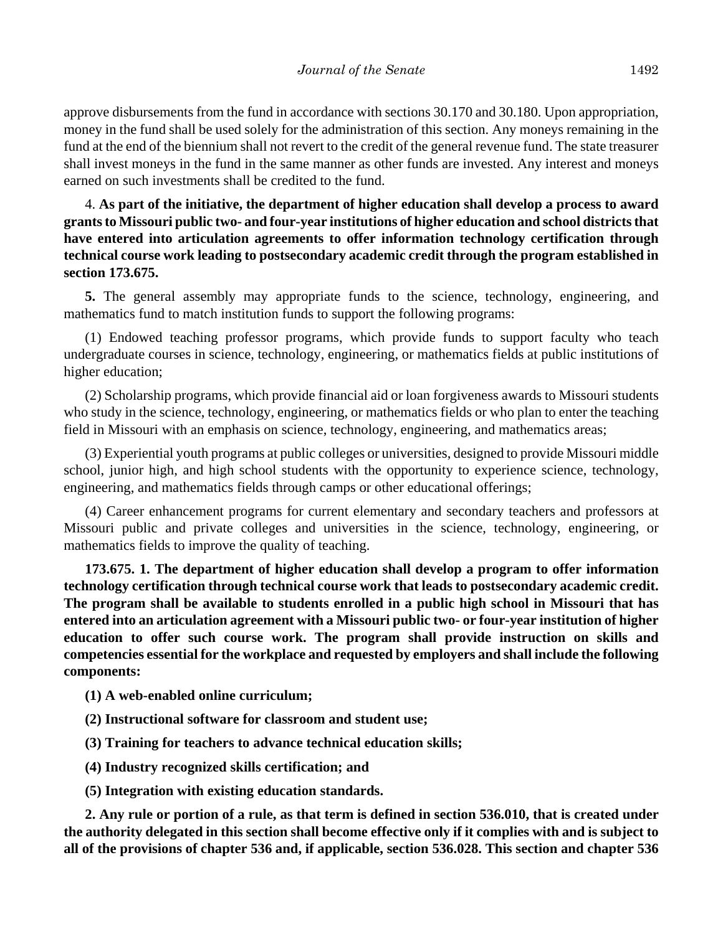approve disbursements from the fund in accordance with sections 30.170 and 30.180. Upon appropriation, money in the fund shall be used solely for the administration of this section. Any moneys remaining in the fund at the end of the biennium shall not revert to the credit of the general revenue fund. The state treasurer shall invest moneys in the fund in the same manner as other funds are invested. Any interest and moneys earned on such investments shall be credited to the fund.

4. **As part of the initiative, the department of higher education shall develop a process to award grants to Missouri public two- and four-year institutions of higher education and school districts that have entered into articulation agreements to offer information technology certification through technical course work leading to postsecondary academic credit through the program established in section 173.675.**

**5.** The general assembly may appropriate funds to the science, technology, engineering, and mathematics fund to match institution funds to support the following programs:

(1) Endowed teaching professor programs, which provide funds to support faculty who teach undergraduate courses in science, technology, engineering, or mathematics fields at public institutions of higher education;

(2) Scholarship programs, which provide financial aid or loan forgiveness awards to Missouri students who study in the science, technology, engineering, or mathematics fields or who plan to enter the teaching field in Missouri with an emphasis on science, technology, engineering, and mathematics areas;

(3) Experiential youth programs at public colleges or universities, designed to provide Missouri middle school, junior high, and high school students with the opportunity to experience science, technology, engineering, and mathematics fields through camps or other educational offerings;

(4) Career enhancement programs for current elementary and secondary teachers and professors at Missouri public and private colleges and universities in the science, technology, engineering, or mathematics fields to improve the quality of teaching.

**173.675. 1. The department of higher education shall develop a program to offer information technology certification through technical course work that leads to postsecondary academic credit. The program shall be available to students enrolled in a public high school in Missouri that has entered into an articulation agreement with a Missouri public two- or four-year institution of higher education to offer such course work. The program shall provide instruction on skills and competencies essential for the workplace and requested by employers and shall include the following components:**

**(1) A web-enabled online curriculum;**

**(2) Instructional software for classroom and student use;**

**(3) Training for teachers to advance technical education skills;**

**(4) Industry recognized skills certification; and**

**(5) Integration with existing education standards.**

**2. Any rule or portion of a rule, as that term is defined in section 536.010, that is created under the authority delegated in this section shall become effective only if it complies with and is subject to all of the provisions of chapter 536 and, if applicable, section 536.028. This section and chapter 536**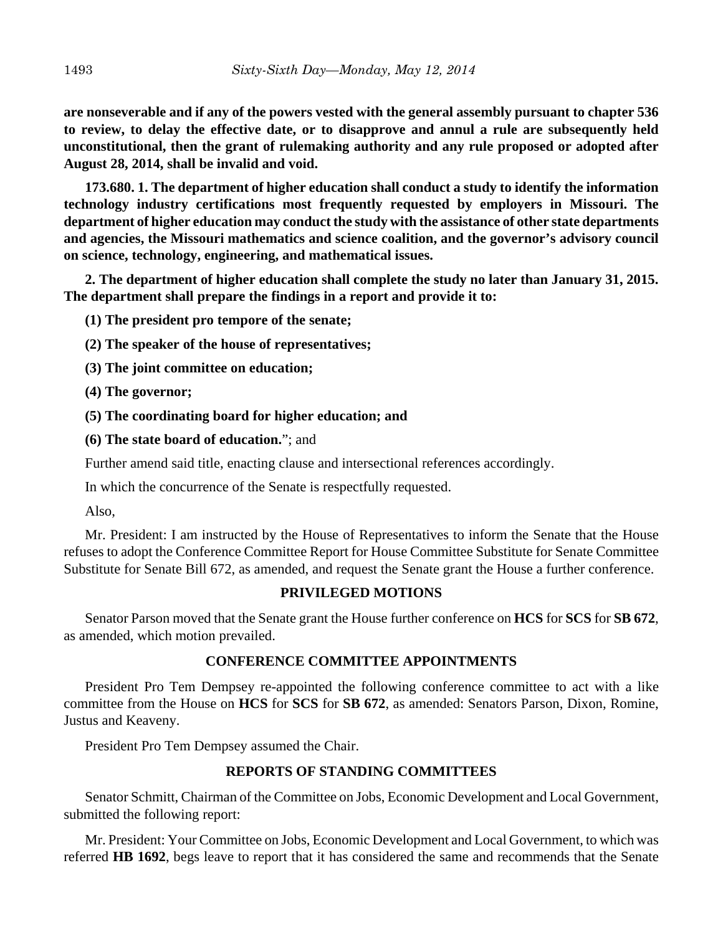**are nonseverable and if any of the powers vested with the general assembly pursuant to chapter 536 to review, to delay the effective date, or to disapprove and annul a rule are subsequently held unconstitutional, then the grant of rulemaking authority and any rule proposed or adopted after August 28, 2014, shall be invalid and void.**

**173.680. 1. The department of higher education shall conduct a study to identify the information technology industry certifications most frequently requested by employers in Missouri. The department of higher education may conduct the study with the assistance of other state departments and agencies, the Missouri mathematics and science coalition, and the governor's advisory council on science, technology, engineering, and mathematical issues.**

**2. The department of higher education shall complete the study no later than January 31, 2015. The department shall prepare the findings in a report and provide it to:**

**(1) The president pro tempore of the senate;**

- **(2) The speaker of the house of representatives;**
- **(3) The joint committee on education;**
- **(4) The governor;**
- **(5) The coordinating board for higher education; and**
- **(6) The state board of education.**"; and

Further amend said title, enacting clause and intersectional references accordingly.

In which the concurrence of the Senate is respectfully requested.

Also,

Mr. President: I am instructed by the House of Representatives to inform the Senate that the House refuses to adopt the Conference Committee Report for House Committee Substitute for Senate Committee Substitute for Senate Bill 672, as amended, and request the Senate grant the House a further conference.

## **PRIVILEGED MOTIONS**

Senator Parson moved that the Senate grant the House further conference on **HCS** for **SCS** for **SB 672**, as amended, which motion prevailed.

## **CONFERENCE COMMITTEE APPOINTMENTS**

President Pro Tem Dempsey re-appointed the following conference committee to act with a like committee from the House on **HCS** for **SCS** for **SB 672**, as amended: Senators Parson, Dixon, Romine, Justus and Keaveny.

President Pro Tem Dempsey assumed the Chair.

## **REPORTS OF STANDING COMMITTEES**

Senator Schmitt, Chairman of the Committee on Jobs, Economic Development and Local Government, submitted the following report:

Mr. President: Your Committee on Jobs, Economic Development and Local Government, to which was referred **HB 1692**, begs leave to report that it has considered the same and recommends that the Senate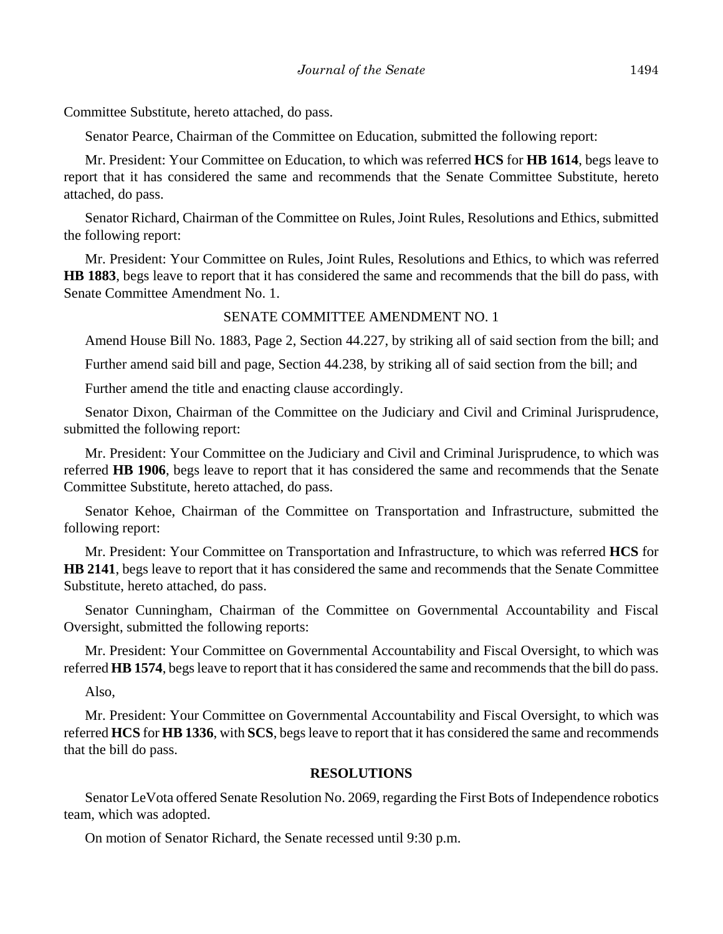Committee Substitute, hereto attached, do pass.

Senator Pearce, Chairman of the Committee on Education, submitted the following report:

Mr. President: Your Committee on Education, to which was referred **HCS** for **HB 1614**, begs leave to report that it has considered the same and recommends that the Senate Committee Substitute, hereto attached, do pass.

Senator Richard, Chairman of the Committee on Rules, Joint Rules, Resolutions and Ethics, submitted the following report:

Mr. President: Your Committee on Rules, Joint Rules, Resolutions and Ethics, to which was referred **HB 1883**, begs leave to report that it has considered the same and recommends that the bill do pass, with Senate Committee Amendment No. 1.

#### SENATE COMMITTEE AMENDMENT NO. 1

Amend House Bill No. 1883, Page 2, Section 44.227, by striking all of said section from the bill; and

Further amend said bill and page, Section 44.238, by striking all of said section from the bill; and

Further amend the title and enacting clause accordingly.

Senator Dixon, Chairman of the Committee on the Judiciary and Civil and Criminal Jurisprudence, submitted the following report:

Mr. President: Your Committee on the Judiciary and Civil and Criminal Jurisprudence, to which was referred **HB 1906**, begs leave to report that it has considered the same and recommends that the Senate Committee Substitute, hereto attached, do pass.

Senator Kehoe, Chairman of the Committee on Transportation and Infrastructure, submitted the following report:

Mr. President: Your Committee on Transportation and Infrastructure, to which was referred **HCS** for **HB 2141**, begs leave to report that it has considered the same and recommends that the Senate Committee Substitute, hereto attached, do pass.

Senator Cunningham, Chairman of the Committee on Governmental Accountability and Fiscal Oversight, submitted the following reports:

Mr. President: Your Committee on Governmental Accountability and Fiscal Oversight, to which was referred **HB 1574**, begs leave to report that it has considered the same and recommends that the bill do pass.

Also,

Mr. President: Your Committee on Governmental Accountability and Fiscal Oversight, to which was referred **HCS** for **HB 1336**, with **SCS**, begs leave to report that it has considered the same and recommends that the bill do pass.

#### **RESOLUTIONS**

Senator LeVota offered Senate Resolution No. 2069, regarding the First Bots of Independence robotics team, which was adopted.

On motion of Senator Richard, the Senate recessed until 9:30 p.m.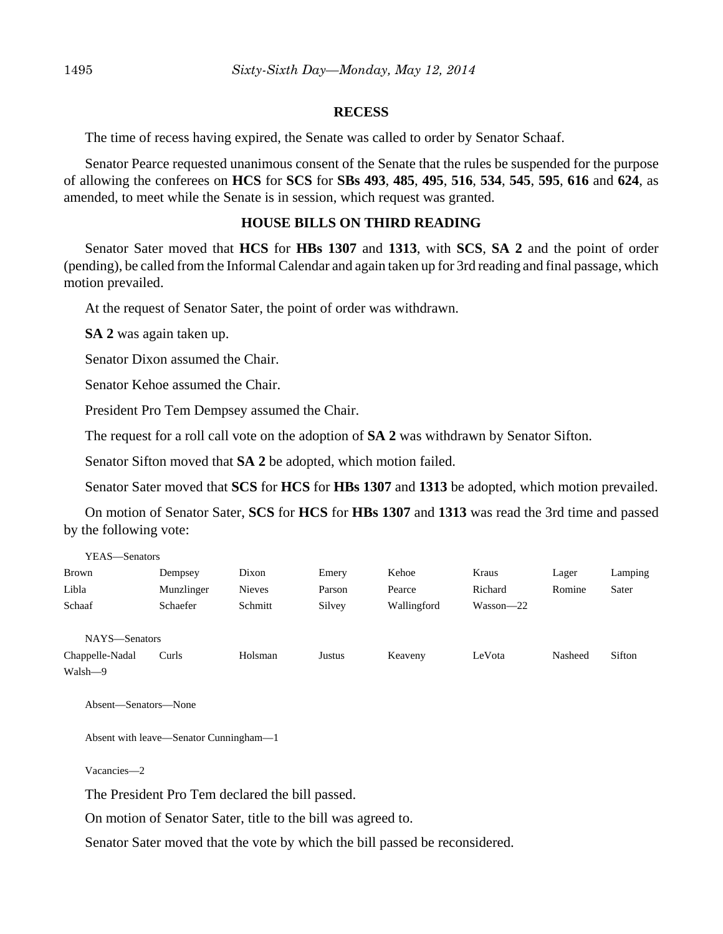#### **RECESS**

The time of recess having expired, the Senate was called to order by Senator Schaaf.

Senator Pearce requested unanimous consent of the Senate that the rules be suspended for the purpose of allowing the conferees on **HCS** for **SCS** for **SBs 493**, **485**, **495**, **516**, **534**, **545**, **595**, **616** and **624**, as amended, to meet while the Senate is in session, which request was granted.

## **HOUSE BILLS ON THIRD READING**

Senator Sater moved that **HCS** for **HBs 1307** and **1313**, with **SCS**, **SA 2** and the point of order (pending), be called from the Informal Calendar and again taken up for 3rd reading and final passage, which motion prevailed.

At the request of Senator Sater, the point of order was withdrawn.

**SA 2** was again taken up.

Senator Dixon assumed the Chair.

Senator Kehoe assumed the Chair.

President Pro Tem Dempsey assumed the Chair.

The request for a roll call vote on the adoption of **SA 2** was withdrawn by Senator Sifton.

Senator Sifton moved that **SA 2** be adopted, which motion failed.

Senator Sater moved that **SCS** for **HCS** for **HBs 1307** and **1313** be adopted, which motion prevailed.

On motion of Senator Sater, **SCS** for **HCS** for **HBs 1307** and **1313** was read the 3rd time and passed by the following vote:

| YEAS—Senators   |            |         |        |             |               |         |         |
|-----------------|------------|---------|--------|-------------|---------------|---------|---------|
| <b>Brown</b>    | Dempsey    | Dixon   | Emery  | Kehoe       | Kraus         | Lager   | Lamping |
| Libla           | Munzlinger | Nieves  | Parson | Pearce      | Richard       | Romine  | Sater   |
| Schaaf          | Schaefer   | Schmitt | Silvey | Wallingford | $Wasson - 22$ |         |         |
|                 |            |         |        |             |               |         |         |
| NAYS-Senators   |            |         |        |             |               |         |         |
| Chappelle-Nadal | Curls      | Holsman | Justus | Keaveny     | LeVota        | Nasheed | Sifton  |
| Walsh-9         |            |         |        |             |               |         |         |

Absent—Senators—None

Absent with leave—Senator Cunningham—1

Vacancies—2

The President Pro Tem declared the bill passed.

On motion of Senator Sater, title to the bill was agreed to.

Senator Sater moved that the vote by which the bill passed be reconsidered.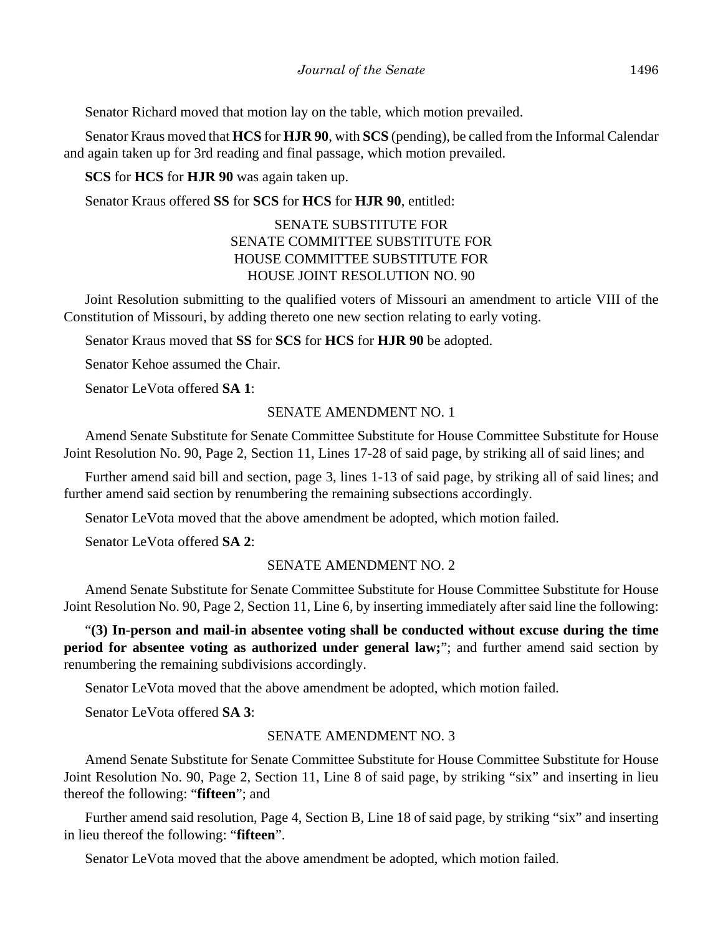Senator Richard moved that motion lay on the table, which motion prevailed.

Senator Kraus moved that **HCS** for **HJR 90**, with **SCS** (pending), be called from the Informal Calendar and again taken up for 3rd reading and final passage, which motion prevailed.

**SCS** for **HCS** for **HJR 90** was again taken up.

Senator Kraus offered **SS** for **SCS** for **HCS** for **HJR 90**, entitled:

## SENATE SUBSTITUTE FOR SENATE COMMITTEE SUBSTITUTE FOR HOUSE COMMITTEE SUBSTITUTE FOR HOUSE JOINT RESOLUTION NO. 90

Joint Resolution submitting to the qualified voters of Missouri an amendment to article VIII of the Constitution of Missouri, by adding thereto one new section relating to early voting.

Senator Kraus moved that **SS** for **SCS** for **HCS** for **HJR 90** be adopted.

Senator Kehoe assumed the Chair.

Senator LeVota offered **SA 1**:

#### SENATE AMENDMENT NO. 1

Amend Senate Substitute for Senate Committee Substitute for House Committee Substitute for House Joint Resolution No. 90, Page 2, Section 11, Lines 17-28 of said page, by striking all of said lines; and

Further amend said bill and section, page 3, lines 1-13 of said page, by striking all of said lines; and further amend said section by renumbering the remaining subsections accordingly.

Senator LeVota moved that the above amendment be adopted, which motion failed.

Senator LeVota offered **SA 2**:

## SENATE AMENDMENT NO. 2

Amend Senate Substitute for Senate Committee Substitute for House Committee Substitute for House Joint Resolution No. 90, Page 2, Section 11, Line 6, by inserting immediately after said line the following:

"**(3) In-person and mail-in absentee voting shall be conducted without excuse during the time period for absentee voting as authorized under general law;**"; and further amend said section by renumbering the remaining subdivisions accordingly.

Senator LeVota moved that the above amendment be adopted, which motion failed.

Senator LeVota offered **SA 3**:

#### SENATE AMENDMENT NO. 3

Amend Senate Substitute for Senate Committee Substitute for House Committee Substitute for House Joint Resolution No. 90, Page 2, Section 11, Line 8 of said page, by striking "six" and inserting in lieu thereof the following: "**fifteen**"; and

Further amend said resolution, Page 4, Section B, Line 18 of said page, by striking "six" and inserting in lieu thereof the following: "**fifteen**".

Senator LeVota moved that the above amendment be adopted, which motion failed.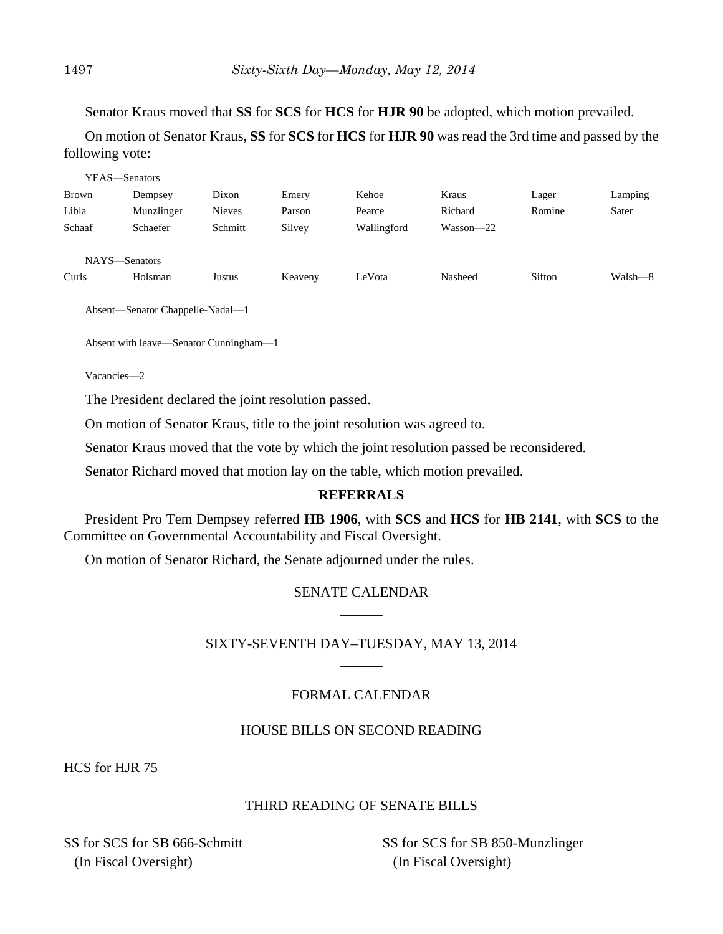Senator Kraus moved that **SS** for **SCS** for **HCS** for **HJR 90** be adopted, which motion prevailed.

On motion of Senator Kraus, **SS** for **SCS** for **HCS** for **HJR 90** was read the 3rd time and passed by the following vote:

| YEAS—Senators |            |               |         |             |               |        |         |
|---------------|------------|---------------|---------|-------------|---------------|--------|---------|
| <b>Brown</b>  | Dempsey    | Dixon         | Emery   | Kehoe       | Kraus         | Lager  | Lamping |
| Libla         | Munzlinger | <b>Nieves</b> | Parson  | Pearce      | Richard       | Romine | Sater   |
| Schaaf        | Schaefer   | Schmitt       | Silvey  | Wallingford | $Wasson - 22$ |        |         |
|               |            |               |         |             |               |        |         |
| NAYS-Senators |            |               |         |             |               |        |         |
| Curls         | Holsman    | Justus        | Keaveny | LeVota      | Nasheed       | Sifton | Walsh—8 |
|               |            |               |         |             |               |        |         |

Absent—Senator Chappelle-Nadal—1

Absent with leave—Senator Cunningham—1

Vacancies—2

The President declared the joint resolution passed.

On motion of Senator Kraus, title to the joint resolution was agreed to.

Senator Kraus moved that the vote by which the joint resolution passed be reconsidered.

Senator Richard moved that motion lay on the table, which motion prevailed.

## **REFERRALS**

President Pro Tem Dempsey referred **HB 1906**, with **SCS** and **HCS** for **HB 2141**, with **SCS** to the Committee on Governmental Accountability and Fiscal Oversight.

On motion of Senator Richard, the Senate adjourned under the rules.

## SENATE CALENDAR  $\overline{\phantom{a}}$

## SIXTY-SEVENTH DAY–TUESDAY, MAY 13, 2014  $\overline{\phantom{a}}$

# FORMAL CALENDAR

## HOUSE BILLS ON SECOND READING

HCS for HJR 75

# THIRD READING OF SENATE BILLS

SS for SCS for SB 666-Schmitt (In Fiscal Oversight)

SS for SCS for SB 850-Munzlinger (In Fiscal Oversight)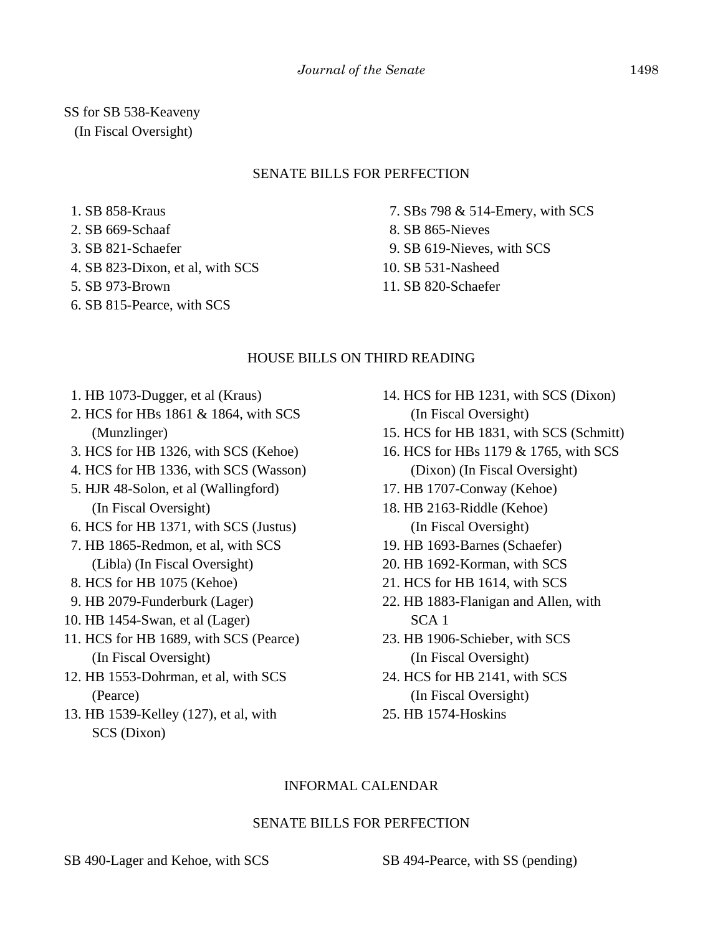SS for SB 538-Keaveny (In Fiscal Oversight)

## SENATE BILLS FOR PERFECTION

1. SB 858-Kraus

- 2. SB 669-Schaaf
- 3. SB 821-Schaefer
- 4. SB 823-Dixon, et al, with SCS
- 5. SB 973-Brown
- 6. SB 815-Pearce, with SCS

 7. SBs 798 & 514-Emery, with SCS 8. SB 865-Nieves 9. SB 619-Nieves, with SCS 10. SB 531-Nasheed

11. SB 820-Schaefer

## HOUSE BILLS ON THIRD READING

- 1. HB 1073-Dugger, et al (Kraus)
- 2. HCS for HBs 1861 & 1864, with SCS (Munzlinger)
- 3. HCS for HB 1326, with SCS (Kehoe)
- 4. HCS for HB 1336, with SCS (Wasson)
- 5. HJR 48-Solon, et al (Wallingford) (In Fiscal Oversight)
- 6. HCS for HB 1371, with SCS (Justus)
- 7. HB 1865-Redmon, et al, with SCS (Libla) (In Fiscal Oversight)
- 8. HCS for HB 1075 (Kehoe)
- 9. HB 2079-Funderburk (Lager)
- 10. HB 1454-Swan, et al (Lager)
- 11. HCS for HB 1689, with SCS (Pearce) (In Fiscal Oversight)
- 12. HB 1553-Dohrman, et al, with SCS (Pearce)
- 13. HB 1539-Kelley (127), et al, with SCS (Dixon)
- 14. HCS for HB 1231, with SCS (Dixon) (In Fiscal Oversight)
- 15. HCS for HB 1831, with SCS (Schmitt)
- 16. HCS for HBs 1179 & 1765, with SCS (Dixon) (In Fiscal Oversight)
- 17. HB 1707-Conway (Kehoe)
- 18. HB 2163-Riddle (Kehoe) (In Fiscal Oversight)
- 19. HB 1693-Barnes (Schaefer)
- 20. HB 1692-Korman, with SCS
- 21. HCS for HB 1614, with SCS
- 22. HB 1883-Flanigan and Allen, with SCA 1
- 23. HB 1906-Schieber, with SCS (In Fiscal Oversight)
- 24. HCS for HB 2141, with SCS (In Fiscal Oversight)
- 25. HB 1574-Hoskins

## INFORMAL CALENDAR

## SENATE BILLS FOR PERFECTION

SB 490-Lager and Kehoe, with SCS SB 494-Pearce, with SS (pending)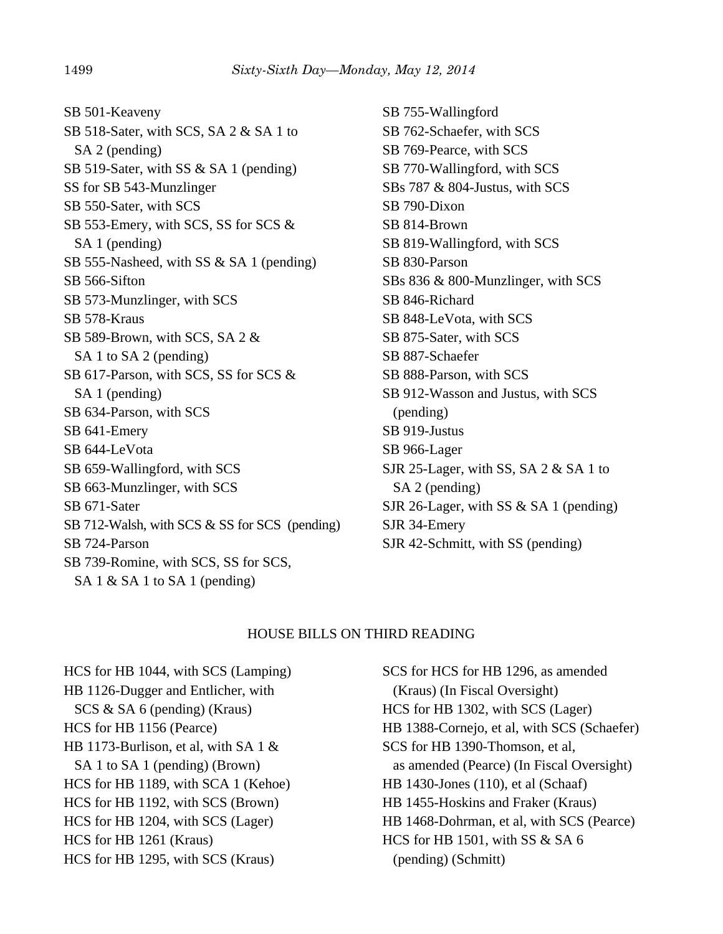SB 501-Keaveny SB 518-Sater, with SCS, SA 2 & SA 1 to SA 2 (pending) SB 519-Sater, with SS & SA 1 (pending) SS for SB 543-Munzlinger SB 550-Sater, with SCS SB 553-Emery, with SCS, SS for SCS & SA 1 (pending) SB 555-Nasheed, with SS & SA 1 (pending) SB 566-Sifton SB 573-Munzlinger, with SCS SB 578-Kraus SB 589-Brown, with SCS, SA 2 & SA 1 to SA 2 (pending) SB 617-Parson, with SCS, SS for SCS & SA 1 (pending) SB 634-Parson, with SCS SB 641-Emery SB 644-LeVota SB 659-Wallingford, with SCS SB 663-Munzlinger, with SCS SB 671-Sater SB 712-Walsh, with SCS & SS for SCS (pending) SB 724-Parson SB 739-Romine, with SCS, SS for SCS, SA 1  $\&$  SA 1 to SA 1 (pending)

SB 755-Wallingford SB 762-Schaefer, with SCS SB 769-Pearce, with SCS SB 770-Wallingford, with SCS SBs 787 & 804-Justus, with SCS SB 790-Dixon SB 814-Brown SB 819-Wallingford, with SCS SB 830-Parson SBs 836 & 800-Munzlinger, with SCS SB 846-Richard SB 848-LeVota, with SCS SB 875-Sater, with SCS SB 887-Schaefer SB 888-Parson, with SCS SB 912-Wasson and Justus, with SCS (pending) SB 919-Justus SB 966-Lager SJR 25-Lager, with SS, SA 2 & SA 1 to SA 2 (pending) SJR 26-Lager, with SS & SA 1 (pending) SJR 34-Emery SJR 42-Schmitt, with SS (pending)

#### HOUSE BILLS ON THIRD READING

HCS for HB 1044, with SCS (Lamping) HB 1126-Dugger and Entlicher, with SCS & SA 6 (pending) (Kraus) HCS for HB 1156 (Pearce) HB 1173-Burlison, et al, with SA 1 & SA 1 to SA 1 (pending) (Brown) HCS for HB 1189, with SCA 1 (Kehoe) HCS for HB 1192, with SCS (Brown) HCS for HB 1204, with SCS (Lager) HCS for HB 1261 (Kraus) HCS for HB 1295, with SCS (Kraus)

SCS for HCS for HB 1296, as amended (Kraus) (In Fiscal Oversight) HCS for HB 1302, with SCS (Lager) HB 1388-Cornejo, et al, with SCS (Schaefer) SCS for HB 1390-Thomson, et al, as amended (Pearce) (In Fiscal Oversight) HB 1430-Jones (110), et al (Schaaf) HB 1455-Hoskins and Fraker (Kraus) HB 1468-Dohrman, et al, with SCS (Pearce) HCS for HB 1501, with SS & SA 6 (pending) (Schmitt)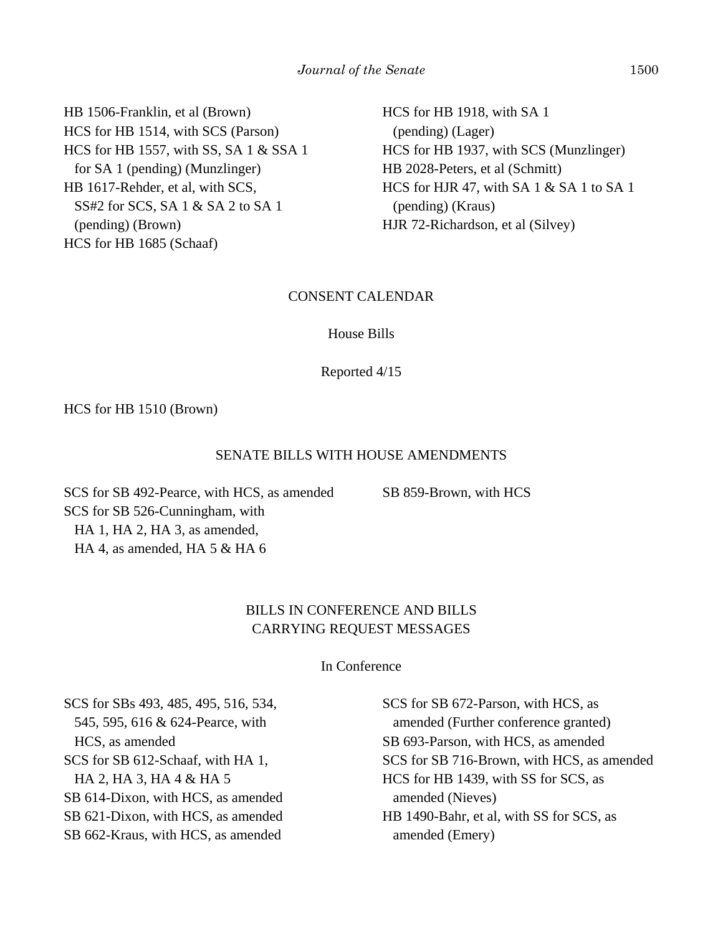HB 1506-Franklin, et al (Brown) HCS for HB 1514, with SCS (Parson) HCS for HB 1557, with SS, SA 1 & SSA 1 for SA 1 (pending) (Munzlinger) HB 1617-Rehder, et al, with SCS, SS#2 for SCS, SA 1 & SA 2 to SA 1 (pending) (Brown) HCS for HB 1685 (Schaaf)

HCS for HB 1918, with SA 1 (pending) (Lager) HCS for HB 1937, with SCS (Munzlinger) HB 2028-Peters, et al (Schmitt) HCS for HJR 47, with SA 1 & SA 1 to SA 1 (pending) (Kraus) HJR 72-Richardson, et al (Silvey)

#### CONSENT CALENDAR

#### House Bills

#### Reported 4/15

HCS for HB 1510 (Brown)

#### SENATE BILLS WITH HOUSE AMENDMENTS

SB 859-Brown, with HCS

SCS for SB 492-Pearce, with HCS, as amended SCS for SB 526-Cunningham, with HA 1, HA 2, HA 3, as amended, HA 4, as amended, HA 5 & HA 6

## BILLS IN CONFERENCE AND BILLS CARRYING REQUEST MESSAGES

In Conference

SCS for SBs 493, 485, 495, 516, 534, 545, 595, 616 & 624-Pearce, with HCS, as amended SCS for SB 612-Schaaf, with HA 1, HA 2, HA 3, HA 4 & HA 5 SB 614-Dixon, with HCS, as amended SB 621-Dixon, with HCS, as amended SB 662-Kraus, with HCS, as amended

SCS for SB 672-Parson, with HCS, as amended (Further conference granted) SB 693-Parson, with HCS, as amended SCS for SB 716-Brown, with HCS, as amended HCS for HB 1439, with SS for SCS, as amended (Nieves) HB 1490-Bahr, et al, with SS for SCS, as amended (Emery)